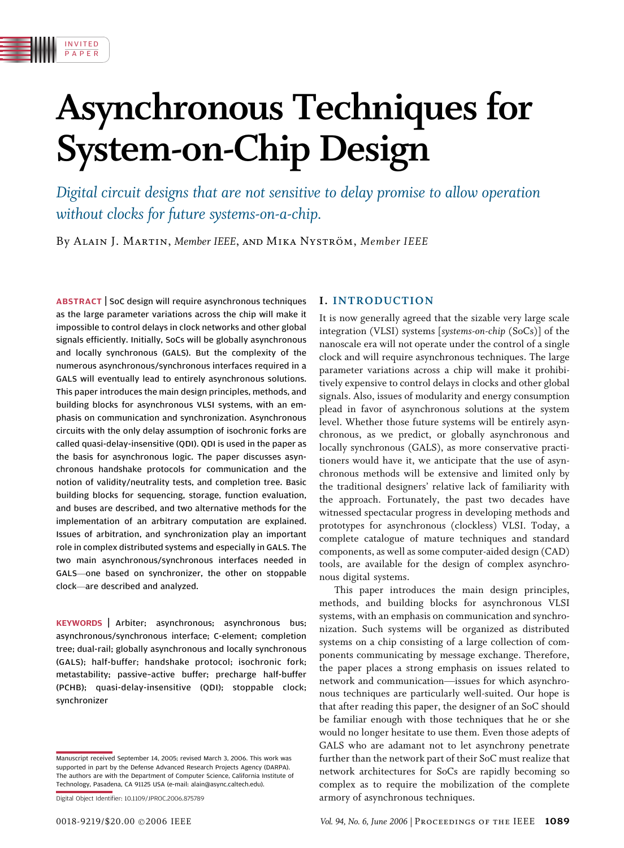# Asynchronous Techniques for System-on-Chip Design

Digital circuit designs that are not sensitive to delay promise to allow operation without clocks for future systems-on-a-chip.

By ALAIN J. MARTIN, Member IEEE, AND MIKA NYSTRÖM, Member IEEE

ABSTRACT | SoC design will require asynchronous techniques as the large parameter variations across the chip will make it impossible to control delays in clock networks and other global signals efficiently. Initially, SoCs will be globally asynchronous and locally synchronous (GALS). But the complexity of the numerous asynchronous/synchronous interfaces required in a GALS will eventually lead to entirely asynchronous solutions. This paper introduces the main design principles, methods, and building blocks for asynchronous VLSI systems, with an emphasis on communication and synchronization. Asynchronous circuits with the only delay assumption of isochronic forks are called quasi-delay-insensitive (QDI). QDI is used in the paper as the basis for asynchronous logic. The paper discusses asynchronous handshake protocols for communication and the notion of validity/neutrality tests, and completion tree. Basic building blocks for sequencing, storage, function evaluation, and buses are described, and two alternative methods for the implementation of an arbitrary computation are explained. Issues of arbitration, and synchronization play an important role in complex distributed systems and especially in GALS. The two main asynchronous/synchronous interfaces needed in GALS-one based on synchronizer, the other on stoppable clock-are described and analyzed.

INVITED PAPER

KEYWORDS | Arbiter; asynchronous; asynchronous bus; asynchronous/synchronous interface; C-element; completion tree; dual-rail; globally asynchronous and locally synchronous (GALS); half-buffer; handshake protocol; isochronic fork; metastability; passive–active buffer; precharge half-buffer (PCHB); quasi-delay-insensitive (QDI); stoppable clock; synchronizer

#### I. INTRODUCTION

It is now generally agreed that the sizable very large scale integration (VLSI) systems [systems-on-chip (SoCs)] of the nanoscale era will not operate under the control of a single clock and will require asynchronous techniques. The large parameter variations across a chip will make it prohibitively expensive to control delays in clocks and other global signals. Also, issues of modularity and energy consumption plead in favor of asynchronous solutions at the system level. Whether those future systems will be entirely asynchronous, as we predict, or globally asynchronous and locally synchronous (GALS), as more conservative practitioners would have it, we anticipate that the use of asynchronous methods will be extensive and limited only by the traditional designers' relative lack of familiarity with the approach. Fortunately, the past two decades have witnessed spectacular progress in developing methods and prototypes for asynchronous (clockless) VLSI. Today, a complete catalogue of mature techniques and standard components, as well as some computer-aided design (CAD) tools, are available for the design of complex asynchronous digital systems.

This paper introduces the main design principles, methods, and building blocks for asynchronous VLSI systems, with an emphasis on communication and synchronization. Such systems will be organized as distributed systems on a chip consisting of a large collection of components communicating by message exchange. Therefore, the paper places a strong emphasis on issues related to network and communication—issues for which asynchronous techniques are particularly well-suited. Our hope is that after reading this paper, the designer of an SoC should be familiar enough with those techniques that he or she would no longer hesitate to use them. Even those adepts of GALS who are adamant not to let asynchrony penetrate further than the network part of their SoC must realize that network architectures for SoCs are rapidly becoming so complex as to require the mobilization of the complete armory of asynchronous techniques.

Manuscript received September 14, 2005; revised March 3, 2006. This work was supported in part by the Defense Advanced Research Projects Agency (DARPA). The authors are with the Department of Computer Science, California Institute of Technology, Pasadena, CA 91125 USA (e-mail: alain@async.caltech.edu).

Digital Object Identifier: 10.1109/JPROC.2006.875789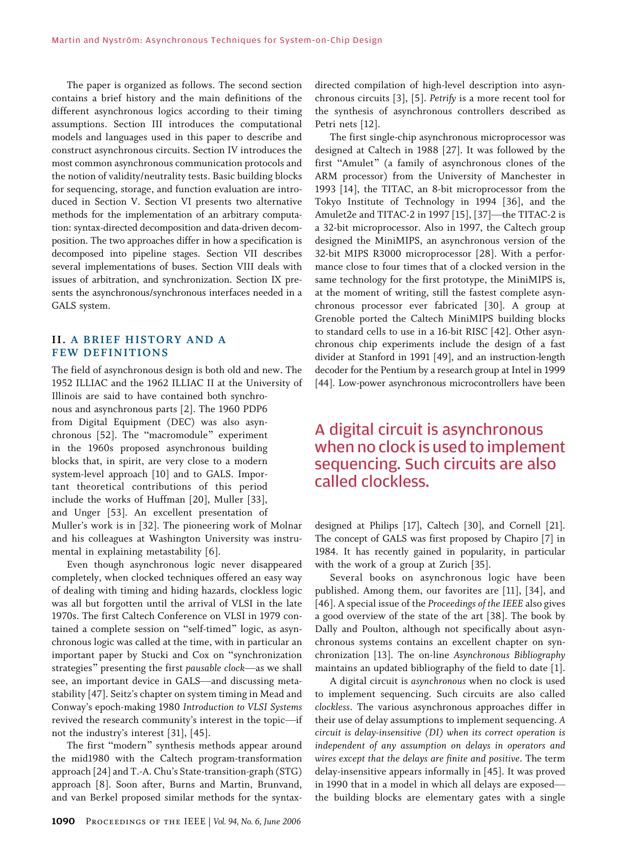The paper is organized as follows. The second section contains a brief history and the main definitions of the different asynchronous logics according to their timing assumptions. Section III introduces the computational models and languages used in this paper to describe and construct asynchronous circuits. Section IV introduces the most common asynchronous communication protocols and the notion of validity/neutrality tests. Basic building blocks for sequencing, storage, and function evaluation are introduced in Section V. Section VI presents two alternative methods for the implementation of an arbitrary computation: syntax-directed decomposition and data-driven decomposition. The two approaches differ in how a specification is decomposed into pipeline stages. Section VII describes several implementations of buses. Section VIII deals with issues of arbitration, and synchronization. Section IX presents the asynchronous/synchronous interfaces needed in a GALS system.

# II. A BRIEF HISTORY AND A FEW DEFINITIONS

The field of asynchronous design is both old and new. The 1952 ILLIAC and the 1962 ILLIAC II at the University of Illinois are said to have contained both synchronous and asynchronous parts [2]. The 1960 PDP6 from Digital Equipment (DEC) was also asynchronous [52]. The "macromodule" experiment in the 1960s proposed asynchronous building blocks that, in spirit, are very close to a modern system-level approach [10] and to GALS. Important theoretical contributions of this period include the works of Huffman [20], Muller [33], and Unger [53]. An excellent presentation of Muller's work is in [32]. The pioneering work of Molnar

and his colleagues at Washington University was instrumental in explaining metastability [6].

Even though asynchronous logic never disappeared completely, when clocked techniques offered an easy way of dealing with timing and hiding hazards, clockless logic was all but forgotten until the arrival of VLSI in the late 1970s. The first Caltech Conference on VLSI in 1979 contained a complete session on "self-timed" logic, as asynchronous logic was called at the time, with in particular an important paper by Stucki and Cox on "synchronization strategies" presenting the first pausable clock-as we shall see, an important device in GALS—and discussing metastability [47]. Seitz's chapter on system timing in Mead and Conway's epoch-making 1980 Introduction to VLSI Systems revived the research community's interest in the topic-if not the industry's interest [31], [45].

The first "modern" synthesis methods appear around the mid1980 with the Caltech program-transformation approach [24] and T.-A. Chu's State-transition-graph (STG) approach [8]. Soon after, Burns and Martin, Brunvand, and van Berkel proposed similar methods for the syntaxdirected compilation of high-level description into asynchronous circuits [3], [5]. Petrify is a more recent tool for the synthesis of asynchronous controllers described as Petri nets [12].

The first single-chip asynchronous microprocessor was designed at Caltech in 1988 [27]. It was followed by the first "Amulet" (a family of asynchronous clones of the ARM processor) from the University of Manchester in 1993 [14], the TITAC, an 8-bit microprocessor from the Tokyo Institute of Technology in 1994 [36], and the Amulet2e and TITAC-2 in 1997 [15], [37]—the TITAC-2 is a 32-bit microprocessor. Also in 1997, the Caltech group designed the MiniMIPS, an asynchronous version of the 32-bit MIPS R3000 microprocessor [28]. With a performance close to four times that of a clocked version in the same technology for the first prototype, the MiniMIPS is, at the moment of writing, still the fastest complete asynchronous processor ever fabricated [30]. A group at Grenoble ported the Caltech MiniMIPS building blocks to standard cells to use in a 16-bit RISC [42]. Other asynchronous chip experiments include the design of a fast divider at Stanford in 1991 [49], and an instruction-length decoder for the Pentium by a research group at Intel in 1999 [44]. Low-power asynchronous microcontrollers have been

# A digital circuit is asynchronous when no clock is used to implement sequencing. Such circuits are also called clockless.

designed at Philips [17], Caltech [30], and Cornell [21]. The concept of GALS was first proposed by Chapiro [7] in 1984. It has recently gained in popularity, in particular with the work of a group at Zurich [35].

Several books on asynchronous logic have been published. Among them, our favorites are [11], [34], and [46]. A special issue of the Proceedings of the IEEE also gives a good overview of the state of the art [38]. The book by Dally and Poulton, although not specifically about asynchronous systems contains an excellent chapter on synchronization [13]. The on-line Asynchronous Bibliography maintains an updated bibliography of the field to date [1].

A digital circuit is asynchronous when no clock is used to implement sequencing. Such circuits are also called clockless. The various asynchronous approaches differ in their use of delay assumptions to implement sequencing. A circuit is delay-insensitive (DI) when its correct operation is independent of any assumption on delays in operators and wires except that the delays are finite and positive. The term delay-insensitive appears informally in [45]. It was proved in 1990 that in a model in which all delays are exposed the building blocks are elementary gates with a single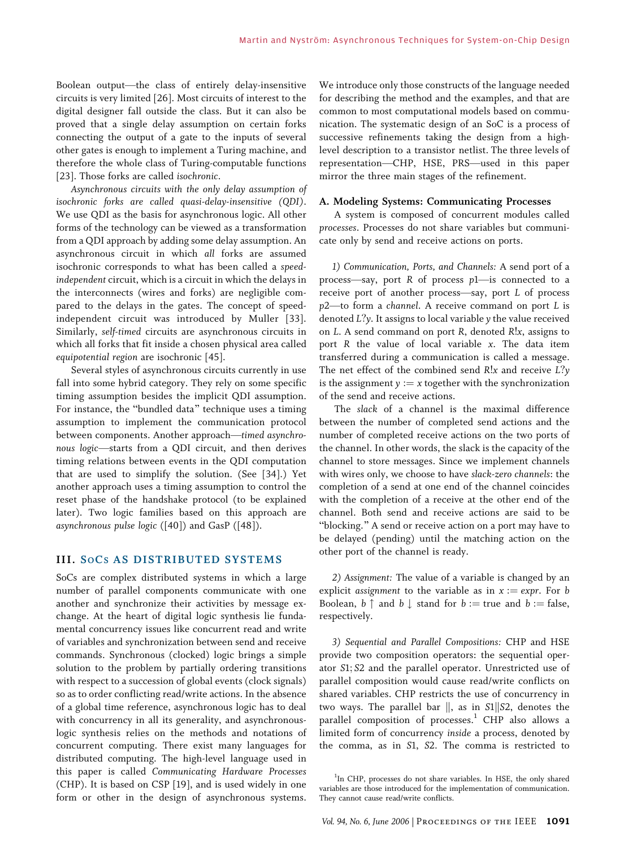Boolean output-the class of entirely delay-insensitive circuits is very limited [26]. Most circuits of interest to the digital designer fall outside the class. But it can also be proved that a single delay assumption on certain forks connecting the output of a gate to the inputs of several other gates is enough to implement a Turing machine, and therefore the whole class of Turing-computable functions [23]. Those forks are called isochronic.

Asynchronous circuits with the only delay assumption of isochronic forks are called quasi-delay-insensitive (QDI). We use QDI as the basis for asynchronous logic. All other forms of the technology can be viewed as a transformation from a QDI approach by adding some delay assumption. An asynchronous circuit in which all forks are assumed isochronic corresponds to what has been called a speedindependent circuit, which is a circuit in which the delays in the interconnects (wires and forks) are negligible compared to the delays in the gates. The concept of speedindependent circuit was introduced by Muller [33]. Similarly, self-timed circuits are asynchronous circuits in which all forks that fit inside a chosen physical area called equipotential region are isochronic [45].

Several styles of asynchronous circuits currently in use fall into some hybrid category. They rely on some specific timing assumption besides the implicit QDI assumption. For instance, the "bundled data" technique uses a timing assumption to implement the communication protocol between components. Another approach-timed asynchronous logic-starts from a QDI circuit, and then derives timing relations between events in the QDI computation that are used to simplify the solution. (See [34].) Yet another approach uses a timing assumption to control the reset phase of the handshake protocol (to be explained later). Two logic families based on this approach are asynchronous pulse logic ([40]) and GasP ([48]).

# III. SOCS AS DISTRIBUTED SYSTEMS

SoCs are complex distributed systems in which a large number of parallel components communicate with one another and synchronize their activities by message exchange. At the heart of digital logic synthesis lie fundamental concurrency issues like concurrent read and write of variables and synchronization between send and receive commands. Synchronous (clocked) logic brings a simple solution to the problem by partially ordering transitions with respect to a succession of global events (clock signals) so as to order conflicting read/write actions. In the absence of a global time reference, asynchronous logic has to deal with concurrency in all its generality, and asynchronouslogic synthesis relies on the methods and notations of concurrent computing. There exist many languages for distributed computing. The high-level language used in this paper is called Communicating Hardware Processes (CHP). It is based on CSP [19], and is used widely in one form or other in the design of asynchronous systems.

We introduce only those constructs of the language needed for describing the method and the examples, and that are common to most computational models based on communication. The systematic design of an SoC is a process of successive refinements taking the design from a highlevel description to a transistor netlist. The three levels of representation-CHP, HSE, PRS-used in this paper mirror the three main stages of the refinement.

# A. Modeling Systems: Communicating Processes

A system is composed of concurrent modules called processes. Processes do not share variables but communicate only by send and receive actions on ports.

1) Communication, Ports, and Channels: A send port of a process—say, port R of process  $p1$ —is connected to a receive port of another process-say, port  $L$  of process  $p2$ —to form a channel. A receive command on port L is denoted L?y. It assigns to local variable y the value received on L. A send command on port R, denoted R!x, assigns to port R the value of local variable x. The data item transferred during a communication is called a message. The net effect of the combined send  $R!x$  and receive  $L?y$ is the assignment  $y := x$  together with the synchronization of the send and receive actions.

The slack of a channel is the maximal difference between the number of completed send actions and the number of completed receive actions on the two ports of the channel. In other words, the slack is the capacity of the channel to store messages. Since we implement channels with wires only, we choose to have slack-zero channels: the completion of a send at one end of the channel coincides with the completion of a receive at the other end of the channel. Both send and receive actions are said to be "blocking." A send or receive action on a port may have to be delayed (pending) until the matching action on the other port of the channel is ready.

2) Assignment: The value of a variable is changed by an explicit assignment to the variable as in  $x := expr$ . For b Boolean,  $b \uparrow$  and  $b \downarrow$  stand for  $b :=$  true and  $b :=$  false, respectively.

3) Sequential and Parallel Compositions: CHP and HSE provide two composition operators: the sequential operator S1; S2 and the parallel operator. Unrestricted use of parallel composition would cause read/write conflicts on shared variables. CHP restricts the use of concurrency in two ways. The parallel bar  $\parallel$ , as in S1 $\parallel$ S2, denotes the parallel composition of processes.<sup>1</sup> CHP also allows a limited form of concurrency inside a process, denoted by the comma, as in S1, S2. The comma is restricted to

<sup>&</sup>lt;sup>1</sup>In CHP, processes do not share variables. In HSE, the only shared variables are those introduced for the implementation of communication. They cannot cause read/write conflicts.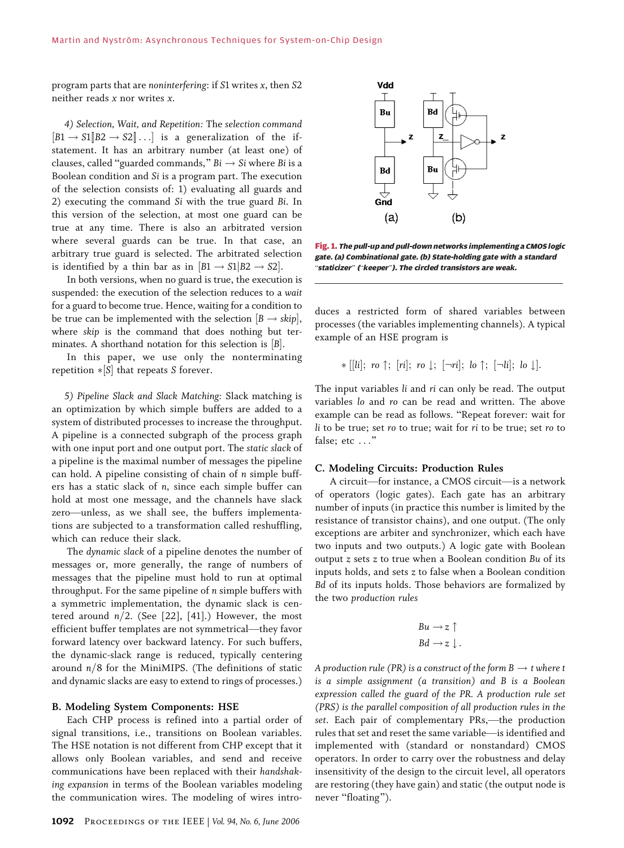program parts that are noninterfering: if S1 writes x, then S2 neither reads x nor writes x.

4) Selection, Wait, and Repetition: The selection command  $[B1 \rightarrow S1 \| B2 \rightarrow S2 \| \dots]$  is a generalization of the ifstatement. It has an arbitrary number (at least one) of clauses, called "guarded commands,"  $Bi \rightarrow Si$  where Bi is a Boolean condition and Si is a program part. The execution of the selection consists of: 1) evaluating all guards and 2) executing the command Si with the true guard Bi. In this version of the selection, at most one guard can be true at any time. There is also an arbitrated version where several guards can be true. In that case, an arbitrary true guard is selected. The arbitrated selection is identified by a thin bar as in  $[B1 \rightarrow S1|B2 \rightarrow S2]$ .

In both versions, when no guard is true, the execution is suspended: the execution of the selection reduces to a wait for a guard to become true. Hence, waiting for a condition to be true can be implemented with the selection  $[B \rightarrow skip],$ where skip is the command that does nothing but terminates. A shorthand notation for this selection is  $[B]$ .

In this paper, we use only the nonterminating repetition  $\sqrt{|S|}$  that repeats S forever.

5) Pipeline Slack and Slack Matching: Slack matching is an optimization by which simple buffers are added to a system of distributed processes to increase the throughput. A pipeline is a connected subgraph of the process graph with one input port and one output port. The static slack of a pipeline is the maximal number of messages the pipeline can hold. A pipeline consisting of chain of n simple buffers has a static slack of n, since each simple buffer can hold at most one message, and the channels have slack zero-unless, as we shall see, the buffers implementations are subjected to a transformation called reshuffling, which can reduce their slack.

The dynamic slack of a pipeline denotes the number of messages or, more generally, the range of numbers of messages that the pipeline must hold to run at optimal throughput. For the same pipeline of n simple buffers with a symmetric implementation, the dynamic slack is centered around  $n/2$ . (See [22], [41].) However, the most efficient buffer templates are not symmetrical-they favor forward latency over backward latency. For such buffers, the dynamic-slack range is reduced, typically centering around  $n/8$  for the MiniMIPS. (The definitions of static and dynamic slacks are easy to extend to rings of processes.)

#### B. Modeling System Components: HSE

Each CHP process is refined into a partial order of signal transitions, i.e., transitions on Boolean variables. The HSE notation is not different from CHP except that it allows only Boolean variables, and send and receive communications have been replaced with their handshaking expansion in terms of the Boolean variables modeling the communication wires. The modeling of wires intro-





Fig. 1. The pull-up and pull-down networks implementing a CMOS logic gate. (a) Combinational gate. (b) State-holding gate with a standard "staticizer" ("keeper"). The circled transistors are weak.

duces a restricted form of shared variables between processes (the variables implementing channels). A typical example of an HSE program is

$$
*[[li];\ \textit{ro}\ \uparrow;\ [ri];\ \textit{ro}\ \downarrow;\ [\neg ri];\ \textit{lo}\ \uparrow;\ [\neg li];\ \textit{lo}\ \downarrow].
$$

The input variables li and ri can only be read. The output variables lo and ro can be read and written. The above example can be read as follows. "Repeat forever: wait for li to be true; set ro to true; wait for ri to be true; set ro to false; etc  $\dots$ "

#### C. Modeling Circuits: Production Rules

A circuit-for instance, a CMOS circuit- is a network of operators (logic gates). Each gate has an arbitrary number of inputs (in practice this number is limited by the resistance of transistor chains), and one output. (The only exceptions are arbiter and synchronizer, which each have two inputs and two outputs.) A logic gate with Boolean output z sets z to true when a Boolean condition Bu of its inputs holds, and sets z to false when a Boolean condition Bd of its inputs holds. Those behaviors are formalized by the two production rules

$$
Bu \rightarrow z \uparrow
$$
  

$$
Bd \rightarrow z \downarrow.
$$

A production rule (PR) is a construct of the form  $B \to t$  where t is a simple assignment (a transition) and B is a Boolean expression called the guard of the PR. A production rule set (PRS) is the parallel composition of all production rules in the set. Each pair of complementary PRs,-the production rules that set and reset the same variable—is identified and implemented with (standard or nonstandard) CMOS operators. In order to carry over the robustness and delay insensitivity of the design to the circuit level, all operators are restoring (they have gain) and static (the output node is never "floating").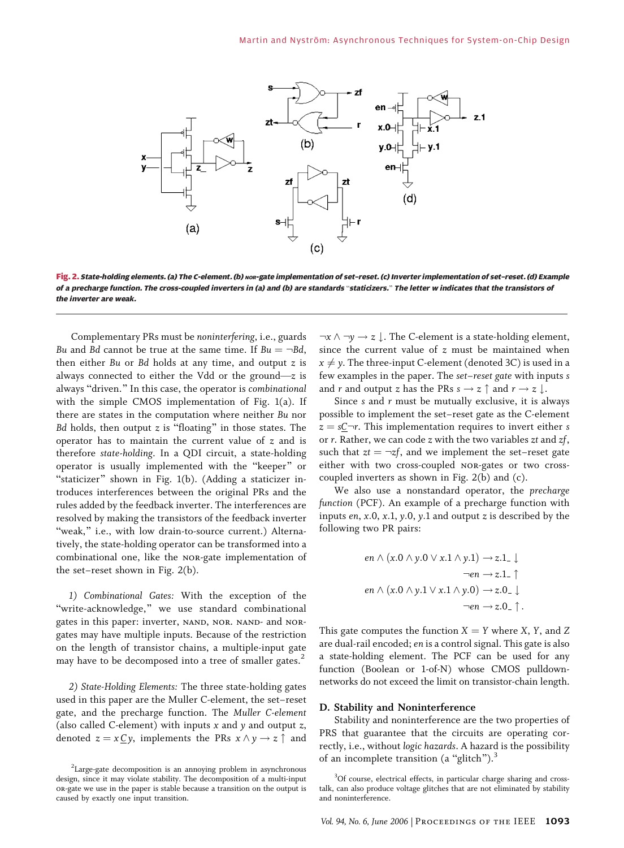

Fig. 2. State-holding elements. (a) The C-element. (b) NoR-gate implementation of set-reset. (c) Inverter implementation of set-reset. (d) Example of a precharge function. The cross-coupled inverters in (a) and (b) are standards "staticizers." The letter w indicates that the transistors of the inverter are weak.

Complementary PRs must be noninterfering, i.e., guards Bu and Bd cannot be true at the same time. If  $Bu = \neg Bd$ , then either Bu or Bd holds at any time, and output z is always connected to either the Vdd or the ground $-z$  is always "driven." In this case, the operator is combinational with the simple CMOS implementation of Fig. 1(a). If there are states in the computation where neither Bu nor Bd holds, then output  $z$  is "floating" in those states. The operator has to maintain the current value of z and is therefore state-holding. In a QDI circuit, a state-holding operator is usually implemented with the "keeper" or "staticizer" shown in Fig. 1(b). (Adding a staticizer introduces interferences between the original PRs and the rules added by the feedback inverter. The interferences are resolved by making the transistors of the feedback inverter "weak," i.e., with low drain-to-source current.) Alternatively, the state-holding operator can be transformed into a combinational one, like the nor-gate implementation of the set–reset shown in Fig. 2(b).

1) Combinational Gates: With the exception of the "write-acknowledge," we use standard combinational gates in this paper: inverter, NAND, NOR. NAND- and NORgates may have multiple inputs. Because of the restriction on the length of transistor chains, a multiple-input gate may have to be decomposed into a tree of smaller gates.<sup>2</sup>

2) State-Holding Elements: The three state-holding gates used in this paper are the Muller C-element, the set–reset gate, and the precharge function. The Muller C-element (also called C-element) with inputs x and y and output z, denoted  $z = x \underline{C} y$ , implements the PRs  $x \wedge y \rightarrow z \uparrow$  and

 $\neg x \land \neg y \rightarrow z \downarrow$ . The C-element is a state-holding element, since the current value of z must be maintained when  $x \neq y$ . The three-input C-element (denoted 3C) is used in a few examples in the paper. The set–reset gate with inputs s and r and output z has the PRs  $s \rightarrow z \uparrow$  and  $r \rightarrow z \downarrow$ .

Since  $s$  and  $r$  must be mutually exclusive, it is always possible to implement the set–reset gate as the C-element  $z = sC \rightarrow r$ . This implementation requires to invert either s or  $r$ . Rather, we can code  $z$  with the two variables  $zt$  and  $zf$ , such that  $zt = \neg zf$ , and we implement the set–reset gate either with two cross-coupled NOR-gates or two crosscoupled inverters as shown in Fig. 2(b) and (c).

We also use a nonstandard operator, the precharge function (PCF). An example of a precharge function with inputs  $en$ ,  $x.0$ ,  $x.1$ ,  $y.0$ ,  $y.1$  and output  $z$  is described by the following two PR pairs:

$$
en \land (x.0 \land y.0 \lor x.1 \land y.1) \rightarrow z.1_{-} \downarrow
$$
  
\n
$$
\neg en \rightarrow z.1_{-} \uparrow
$$
  
\n
$$
en \land (x.0 \land y.1 \lor x.1 \land y.0) \rightarrow z.0_{-} \downarrow
$$
  
\n
$$
\neg en \rightarrow z.0_{-} \uparrow.
$$

This gate computes the function  $X = Y$  where X, Y, and Z are dual-rail encoded; en is a control signal. This gate is also a state-holding element. The PCF can be used for any function (Boolean or 1-of-N) whose CMOS pulldownnetworks do not exceed the limit on transistor-chain length.

#### D. Stability and Noninterference

Stability and noninterference are the two properties of PRS that guarantee that the circuits are operating correctly, i.e., without logic hazards. A hazard is the possibility of an incomplete transition (a "glitch").<sup>3</sup>

<sup>&</sup>lt;sup>2</sup>Large-gate decomposition is an annoying problem in asynchronous design, since it may violate stability. The decomposition of a multi-input or-gate we use in the paper is stable because a transition on the output is caused by exactly one input transition.

<sup>&</sup>lt;sup>3</sup>Of course, electrical effects, in particular charge sharing and crosstalk, can also produce voltage glitches that are not eliminated by stability and noninterference.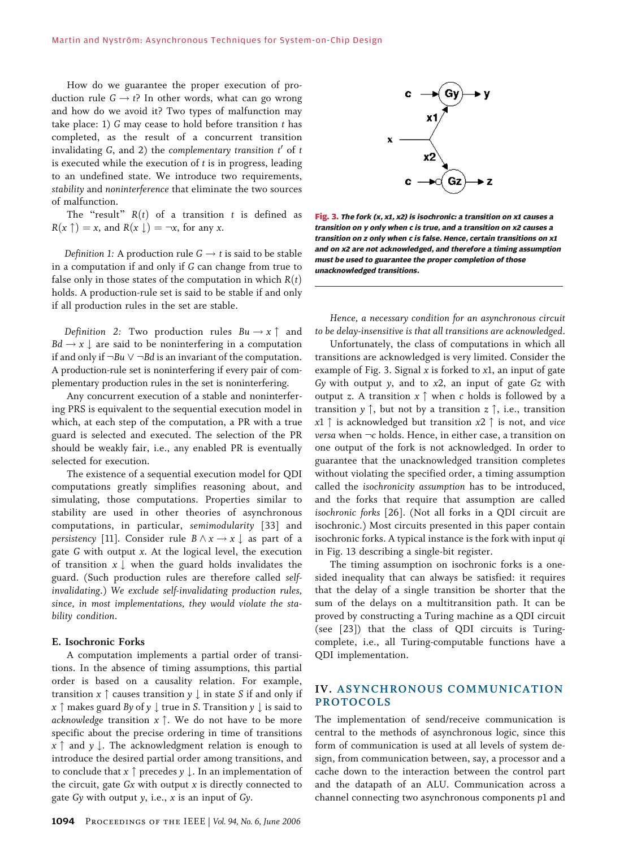How do we guarantee the proper execution of production rule  $G \rightarrow t$ ? In other words, what can go wrong and how do we avoid it? Two types of malfunction may take place: 1)  $G$  may cease to hold before transition  $t$  has completed, as the result of a concurrent transition invalidating G, and 2) the complementary transition  $t'$  of t is executed while the execution of  $t$  is in progress, leading to an undefined state. We introduce two requirements, stability and noninterference that eliminate the two sources of malfunction.

The "result"  $R(t)$  of a transition t is defined as  $R(x \uparrow) = x$ , and  $R(x \downarrow) = \neg x$ , for any x.

Definition 1: A production rule  $G \rightarrow t$  is said to be stable in a computation if and only if G can change from true to false only in those states of the computation in which  $R(t)$ holds. A production-rule set is said to be stable if and only if all production rules in the set are stable.

Definition 2: Two production rules  $Bu \rightarrow x \uparrow$  and  $Bd \rightarrow x \downarrow$  are said to be noninterfering in a computation if and only if  $\neg Bu \lor \neg Bd$  is an invariant of the computation. A production-rule set is noninterfering if every pair of complementary production rules in the set is noninterfering.

Any concurrent execution of a stable and noninterfering PRS is equivalent to the sequential execution model in which, at each step of the computation, a PR with a true guard is selected and executed. The selection of the PR should be weakly fair, i.e., any enabled PR is eventually selected for execution.

The existence of a sequential execution model for QDI computations greatly simplifies reasoning about, and simulating, those computations. Properties similar to stability are used in other theories of asynchronous computations, in particular, semimodularity [33] and persistency [11]. Consider rule  $B \wedge x \rightarrow x \downarrow$  as part of a gate G with output x. At the logical level, the execution of transition  $x \downarrow$  when the guard holds invalidates the guard. (Such production rules are therefore called selfinvalidating.) We exclude self-invalidating production rules, since, in most implementations, they would violate the stability condition.

## E. Isochronic Forks

A computation implements a partial order of transitions. In the absence of timing assumptions, this partial order is based on a causality relation. For example, transition  $x \uparrow$  causes transition  $y \downarrow$  in state S if and only if  $x \uparrow$  makes guard By of y  $\downarrow$  true in S. Transition y  $\downarrow$  is said to acknowledge transition  $x \uparrow$ . We do not have to be more specific about the precise ordering in time of transitions  $x \uparrow$  and  $y \downarrow$ . The acknowledgment relation is enough to introduce the desired partial order among transitions, and to conclude that  $x \uparrow$  precedes  $y \downarrow$ . In an implementation of the circuit, gate  $Gx$  with output  $x$  is directly connected to gate Gy with output y, i.e., x is an input of Gy.



Fig. 3. The fork (x, x1, x2) is isochronic: a transition on x1 causes a transition on y only when c is true, and a transition on x2 causes a transition on z only when c is false. Hence, certain transitions on x1 and on x2 are not acknowledged, and therefore a timing assumption must be used to guarantee the proper completion of those unacknowledged transitions.

Hence, a necessary condition for an asynchronous circuit to be delay-insensitive is that all transitions are acknowledged.

Unfortunately, the class of computations in which all transitions are acknowledged is very limited. Consider the example of Fig. 3. Signal  $x$  is forked to  $x1$ , an input of gate Gy with output y, and to  $x^2$ , an input of gate  $Gz$  with output z. A transition  $x \uparrow$  when c holds is followed by a transition  $y \uparrow$ , but not by a transition  $z \uparrow$ , i.e., transition  $x1 \uparrow$  is acknowledged but transition  $x2 \uparrow$  is not, and vice versa when  $\neg c$  holds. Hence, in either case, a transition on one output of the fork is not acknowledged. In order to guarantee that the unacknowledged transition completes without violating the specified order, a timing assumption called the isochronicity assumption has to be introduced, and the forks that require that assumption are called isochronic forks [26]. (Not all forks in a QDI circuit are isochronic.) Most circuits presented in this paper contain isochronic forks. A typical instance is the fork with input qi in Fig. 13 describing a single-bit register.

The timing assumption on isochronic forks is a onesided inequality that can always be satisfied: it requires that the delay of a single transition be shorter that the sum of the delays on a multitransition path. It can be proved by constructing a Turing machine as a QDI circuit (see [23]) that the class of QDI circuits is Turingcomplete, i.e., all Turing-computable functions have a QDI implementation.

# IV. ASYNCHRONOUS COMMUNICATION PROTOCOLS

The implementation of send/receive communication is central to the methods of asynchronous logic, since this form of communication is used at all levels of system design, from communication between, say, a processor and a cache down to the interaction between the control part and the datapath of an ALU. Communication across a channel connecting two asynchronous components p1 and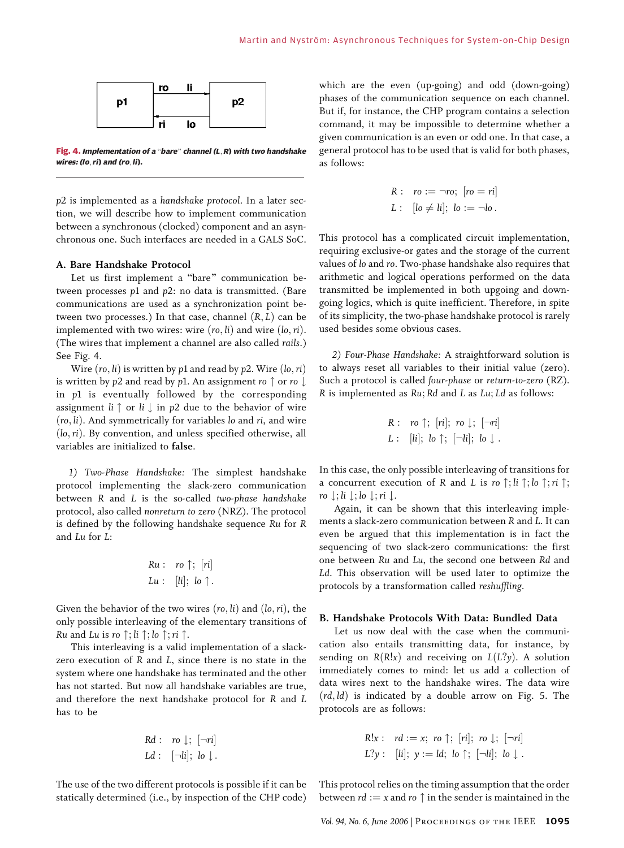

Fig. 4. Implementation of a "bare" channel (L, R) with two handshake wires: (lo; ri) and (ro; li).

p2 is implemented as a handshake protocol. In a later section, we will describe how to implement communication between a synchronous (clocked) component and an asynchronous one. Such interfaces are needed in a GALS SoC.

#### A. Bare Handshake Protocol

Let us first implement a "bare" communication between processes p1 and p2: no data is transmitted. (Bare communications are used as a synchronization point between two processes.) In that case, channel  $(R, L)$  can be implemented with two wires: wire  $(ro, li)$  and wire  $(lo, ri)$ . (The wires that implement a channel are also called rails.) See Fig. 4.

Wire  $(ro, li)$  is written by p1 and read by p2. Wire  $(lo, ri)$ is written by p2 and read by p1. An assignment ro  $\uparrow$  or ro  $\downarrow$ in p1 is eventually followed by the corresponding assignment  $li \uparrow$  or  $li \downarrow$  in p2 due to the behavior of wire  $(ro, li)$ . And symmetrically for variables lo and ri, and wire  $($ lo, $ri)$ . By convention, and unless specified otherwise, all variables are initialized to false.

1) Two-Phase Handshake: The simplest handshake protocol implementing the slack-zero communication between R and L is the so-called two-phase handshake protocol, also called nonreturn to zero (NRZ). The protocol is defined by the following handshake sequence Ru for R and Lu for L:

$$
Ru: ro \uparrow; [ri]
$$
  

$$
Lu: [li]; lo \uparrow.
$$

Given the behavior of the two wires  $(ro, li)$  and  $(lo, ri)$ , the only possible interleaving of the elementary transitions of Ru and Lu is ro  $\uparrow$ ; li  $\uparrow$ ; lo  $\uparrow$ ; ri  $\uparrow$ .

This interleaving is a valid implementation of a slackzero execution of R and L, since there is no state in the system where one handshake has terminated and the other has not started. But now all handshake variables are true, and therefore the next handshake protocol for R and L has to be

$$
Rd: ro \downarrow; [\neg ri]
$$
  

$$
Ld: [\neg li]; lo \downarrow.
$$

The use of the two different protocols is possible if it can be statically determined (i.e., by inspection of the CHP code)

which are the even (up-going) and odd (down-going) phases of the communication sequence on each channel. But if, for instance, the CHP program contains a selection command, it may be impossible to determine whether a given communication is an even or odd one. In that case, a general protocol has to be used that is valid for both phases, as follows:

$$
R: ro := \neg ro; [ro = ri]
$$
  

$$
L: [lo \neq li]; lo := \neg lo.
$$

This protocol has a complicated circuit implementation, requiring exclusive-or gates and the storage of the current values of lo and ro. Two-phase handshake also requires that arithmetic and logical operations performed on the data transmitted be implemented in both upgoing and downgoing logics, which is quite inefficient. Therefore, in spite of its simplicity, the two-phase handshake protocol is rarely used besides some obvious cases.

2) Four-Phase Handshake: A straightforward solution is to always reset all variables to their initial value (zero). Such a protocol is called four-phase or return-to-zero (RZ). R is implemented as Ru; Rd and L as Lu; Ld as follows:

$$
R: ro \uparrow; [ri]; ro \downarrow; [-ri]
$$
  

$$
L: [li]; lo \uparrow; [-li]; lo \downarrow.
$$

In this case, the only possible interleaving of transitions for a concurrent execution of R and L is ro  $\hat{ }$ ; li  $\hat{ }$ ; lo  $\hat{ }$ ; ri  $\hat{ }$ ; ro  $\downarrow$ ; li  $\downarrow$ ; lo  $\downarrow$ ; ri  $\downarrow$ .

Again, it can be shown that this interleaving implements a slack-zero communication between R and L. It can even be argued that this implementation is in fact the sequencing of two slack-zero communications: the first one between Ru and Lu, the second one between Rd and Ld. This observation will be used later to optimize the protocols by a transformation called reshuffling.

# B. Handshake Protocols With Data: Bundled Data

Let us now deal with the case when the communication also entails transmitting data, for instance, by sending on  $R(R!x)$  and receiving on  $L(L?y)$ . A solution immediately comes to mind: let us add a collection of data wires next to the handshake wires. The data wire  $(rd, ld)$  is indicated by a double arrow on Fig. 5. The protocols are as follows:

$$
R!x: \quad rd := x; \quad ro \uparrow; \ [ri]; \quad ro \downarrow; \ [-ri]
$$
\n
$$
L?y: \ [li]; \quad y := ld; \quad lo \uparrow; \ [-li]; \quad lo \downarrow.
$$

This protocol relies on the timing assumption that the order between  $rd := x$  and  $ro \uparrow$  in the sender is maintained in the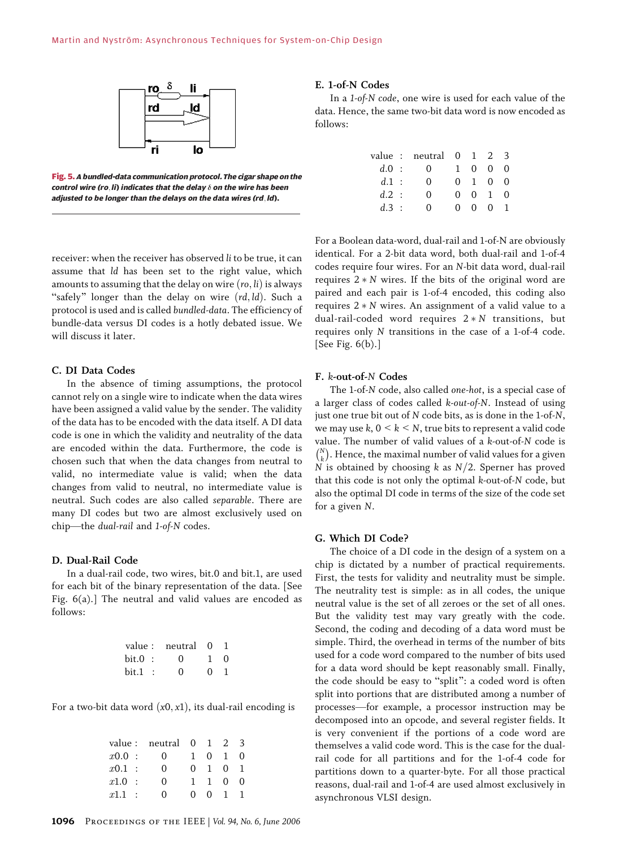

Fig. 5. A bundled-data communication protocol. The cigar shape on the control wire (ro; li) indicates that the delay  $\delta$  on the wire has been adjusted to be longer than the delays on the data wires (rd, ld).

receiver: when the receiver has observed li to be true, it can assume that ld has been set to the right value, which amounts to assuming that the delay on wire  $(ro, li)$  is always "safely" longer than the delay on wire  $(rd, ld)$ . Such a protocol is used and is called bundled-data. The efficiency of bundle-data versus DI codes is a hotly debated issue. We will discuss it later.

# C. DI Data Codes

In the absence of timing assumptions, the protocol cannot rely on a single wire to indicate when the data wires have been assigned a valid value by the sender. The validity of the data has to be encoded with the data itself. A DI data code is one in which the validity and neutrality of the data are encoded within the data. Furthermore, the code is chosen such that when the data changes from neutral to valid, no intermediate value is valid; when the data changes from valid to neutral, no intermediate value is neutral. Such codes are also called separable. There are many DI codes but two are almost exclusively used on chip-the dual-rail and  $1$ -of-N codes.

#### D. Dual-Rail Code

In a dual-rail code, two wires, bit.0 and bit.1, are used for each bit of the binary representation of the data. [See Fig. 6(a).] The neutral and valid values are encoded as follows:

|           | value : neutral 0 |                | $\overline{1}$ |
|-----------|-------------------|----------------|----------------|
| $bit.0$ : | $\Omega$          |                | $1 \Omega$     |
| $bit.1$ : | ∩                 | 0 <sub>1</sub> |                |

For a two-bit data word  $(x0, x1)$ , its dual-rail encoding is

|          | value : neutral 0 1 2 3 |   |                     |                |          |  |
|----------|-------------------------|---|---------------------|----------------|----------|--|
| $x0.0$ : | 0                       |   | 1 0 1               |                | $\Omega$ |  |
| $x0.1$ : | 0                       |   | $0 \quad 1 \quad 0$ |                |          |  |
| $x1.0$ : | 0                       |   | $1 \quad 1 \quad 0$ |                | $\Omega$ |  |
| $x1.1$ : | $\Omega$                | 0 |                     | 0 <sub>1</sub> |          |  |

# E. 1-of-N Codes

In a 1-of-N code, one wire is used for each value of the data. Hence, the same two-bit data word is now encoded as follows:

| value : | neutral  |          |             | 0 1 2 3        |          |
|---------|----------|----------|-------------|----------------|----------|
| $d.0$ : | $\theta$ |          | $1 \quad 0$ | $\Omega$       | $\Omega$ |
| $d.1$ : | 0        |          | $0 \quad 1$ | $\overline{0}$ | - 0      |
| $d.2$ : | 0        | 0        |             | 0 <sub>1</sub> | $\left($ |
| $d.3$ : | 0        | $\Omega$ | 0           | 0              |          |

For a Boolean data-word, dual-rail and 1-of-N are obviously identical. For a 2-bit data word, both dual-rail and 1-of-4 codes require four wires. For an N-bit data word, dual-rail requires  $2*N$  wires. If the bits of the original word are paired and each pair is 1-of-4 encoded, this coding also requires  $2*N$  wires. An assignment of a valid value to a dual-rail-coded word requires  $2*N$  transitions, but requires only N transitions in the case of a 1-of-4 code. [See Fig. 6(b).]

# F. k-out-of-N Codes

The 1-of-N code, also called one-hot, is a special case of a larger class of codes called k-out-of-N. Instead of using just one true bit out of N code bits, as is done in the 1-of-N, we may use  $k, 0 \le k \le N$ , true bits to represent a valid code value. The number of valid values of a k-out-of-N code is N k value. The number of valid values of a k out of N code is  $\binom{N}{k}$ . Hence, the maximal number of valid values for a given N is obtained by choosing k as  $N/2$ . Sperner has proved that this code is not only the optimal k-out-of-N code, but also the optimal DI code in terms of the size of the code set for a given N.

#### G. Which DI Code?

The choice of a DI code in the design of a system on a chip is dictated by a number of practical requirements. First, the tests for validity and neutrality must be simple. The neutrality test is simple: as in all codes, the unique neutral value is the set of all zeroes or the set of all ones. But the validity test may vary greatly with the code. Second, the coding and decoding of a data word must be simple. Third, the overhead in terms of the number of bits used for a code word compared to the number of bits used for a data word should be kept reasonably small. Finally, the code should be easy to "split": a coded word is often split into portions that are distributed among a number of processes—for example, a processor instruction may be decomposed into an opcode, and several register fields. It is very convenient if the portions of a code word are themselves a valid code word. This is the case for the dualrail code for all partitions and for the 1-of-4 code for partitions down to a quarter-byte. For all those practical reasons, dual-rail and 1-of-4 are used almost exclusively in asynchronous VLSI design.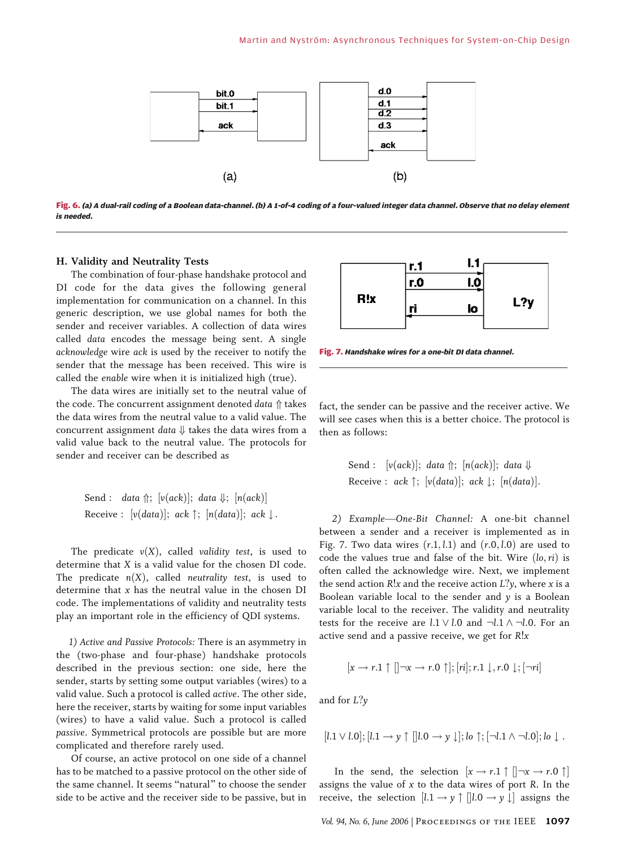

Fig. 6. (a) A dual-rail coding of a Boolean data-channel. (b) A 1-of-4 coding of a four-valued integer data channel. Observe that no delay element is needed.

#### H. Validity and Neutrality Tests

The combination of four-phase handshake protocol and DI code for the data gives the following general implementation for communication on a channel. In this generic description, we use global names for both the sender and receiver variables. A collection of data wires called data encodes the message being sent. A single acknowledge wire ack is used by the receiver to notify the sender that the message has been received. This wire is called the enable wire when it is initialized high (true).

The data wires are initially set to the neutral value of the code. The concurrent assignment denoted data  $\Uparrow$  takes the data wires from the neutral value to a valid value. The concurrent assignment data  $\Downarrow$  takes the data wires from a valid value back to the neutral value. The protocols for sender and receiver can be described as

> Send : data  $\Uparrow$ ;  $[v(ack)]$ ; data  $\Downarrow$ ;  $[n(ack)]$ Receive :  $[v(data)]; \, ack \uparrow; \, [n(data)]; \, ack \downarrow.$

The predicate  $v(X)$ , called validity test, is used to determine that X is a valid value for the chosen DI code. The predicate  $n(X)$ , called neutrality test, is used to determine that x has the neutral value in the chosen DI code. The implementations of validity and neutrality tests play an important role in the efficiency of QDI systems.

1) Active and Passive Protocols: There is an asymmetry in the (two-phase and four-phase) handshake protocols described in the previous section: one side, here the sender, starts by setting some output variables (wires) to a valid value. Such a protocol is called active. The other side, here the receiver, starts by waiting for some input variables (wires) to have a valid value. Such a protocol is called passive. Symmetrical protocols are possible but are more complicated and therefore rarely used.

Of course, an active protocol on one side of a channel has to be matched to a passive protocol on the other side of the same channel. It seems "natural" to choose the sender side to be active and the receiver side to be passive, but in



Fig. 7. Handshake wires for a one-bit DI data channel.

fact, the sender can be passive and the receiver active. We will see cases when this is a better choice. The protocol is then as follows:

Send: 
$$
[v(ack)]; data \uparrow
$$
;  $[n(ack)]; data \Downarrow$   
Receive:  $ack \uparrow$ ;  $[v(data)]; ack \downarrow$ ;  $[n(data)].$ 

2) Example-One-Bit Channel: A one-bit channel between a sender and a receiver is implemented as in Fig. 7. Two data wires  $(r.1, l.1)$  and  $(r.0, l.0)$  are used to code the values true and false of the bit. Wire  $(l_0, ri)$  is often called the acknowledge wire. Next, we implement the send action  $R!x$  and the receive action  $L?y$ , where x is a Boolean variable local to the sender and y is a Boolean variable local to the receiver. The validity and neutrality tests for the receive are  $l.1 \vee l.0$  and  $\neg l.1 \wedge \neg l.0$ . For an active send and a passive receive, we get for R!x

$$
[x \rightarrow r.1 \uparrow []\neg x \rightarrow r.0 \uparrow]; [ri]; r.1 \downarrow, r.0 \downarrow; [\neg ri]
$$

and for L?y

 $[l.1 \vee l.0]; [l.1 \rightarrow y \uparrow []l.0 \rightarrow y \downarrow];$  lo  $\uparrow; [\neg l.1 \wedge \neg l.0];$  lo  $\downarrow$ .

In the send, the selection  $[x \rightarrow r.1 \uparrow ||\neg x \rightarrow r.0 \uparrow]$ assigns the value of  $x$  to the data wires of port  $R$ . In the receive, the selection  $[l.1 \rightarrow y \uparrow [] l.0 \rightarrow y \downarrow]$  assigns the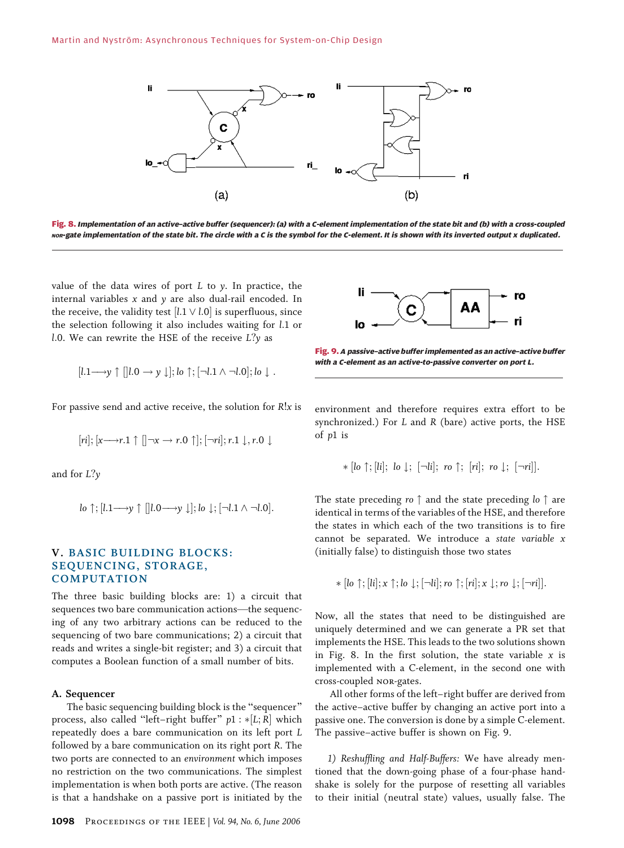

Fig. 8. Implementation of an active–active buffer (sequencer): (a) with a C-element implementation of the state bit and (b) with a cross-coupled NOR-gate implementation of the state bit. The circle with a C is the symbol for the C-element. It is shown with its inverted output x duplicated.

value of the data wires of port  $L$  to  $y$ . In practice, the internal variables x and y are also dual-rail encoded. In the receive, the validity test  $[1.1 \vee 1.0]$  is superfluous, since the selection following it also includes waiting for l:1 or l.0. We can rewrite the HSE of the receive  $L$ ?y as

$$
[l.1 \longrightarrow y \uparrow [] l.0 \longrightarrow y \downarrow]; lo \uparrow; [\neg l.1 \land \neg l.0]; lo \downarrow.
$$

For passive send and active receive, the solution for  $R!x$  is

[ri]; 
$$
[x \rightarrow r.1 \uparrow []\neg x \rightarrow r.0 \uparrow]; [\neg ri]; r.1 \downarrow, r.0 \downarrow
$$

and for L?y

$$
lo \uparrow; [l.1 \longrightarrow y \uparrow [] l.0 \longrightarrow y \downarrow]; lo \downarrow; [\neg l.1 \land \neg l.0].
$$

# V. BASIC BUILDING BLOCKS: SEQUENCING, STORAGE, COMPUTATION

The three basic building blocks are: 1) a circuit that sequences two bare communication actions-the sequencing of any two arbitrary actions can be reduced to the sequencing of two bare communications; 2) a circuit that reads and writes a single-bit register; and 3) a circuit that computes a Boolean function of a small number of bits.

#### A. Sequencer

The basic sequencing building block is the "sequencer" process, also called "left–right buffer"  $p1 : *[L; R]$  which repeatedly does a bare communication on its left port L followed by a bare communication on its right port R. The two ports are connected to an environment which imposes no restriction on the two communications. The simplest implementation is when both ports are active. (The reason is that a handshake on a passive port is initiated by the



Fig. 9. A passive–active buffer implemented as an active–active buffer with a C-element as an active-to-passive converter on port L.

environment and therefore requires extra effort to be synchronized.) For L and R (bare) active ports, the HSE of p1 is

$$
* [lo \uparrow; [li]; lo \downarrow; [\neg li]; ro \uparrow; [ri]; ro \downarrow; [\neg ri]].
$$

The state preceding ro  $\uparrow$  and the state preceding lo  $\uparrow$  are identical in terms of the variables of the HSE, and therefore the states in which each of the two transitions is to fire cannot be separated. We introduce a state variable  $x$ (initially false) to distinguish those two states

$$
* [lo \uparrow; [li]; x \uparrow; lo \downarrow; [\neg li]; ro \uparrow; [ri]; x \downarrow; ro \downarrow; [\neg ri]].
$$

Now, all the states that need to be distinguished are uniquely determined and we can generate a PR set that implements the HSE. This leads to the two solutions shown in Fig. 8. In the first solution, the state variable  $x$  is implemented with a C-element, in the second one with cross-coupled nor-gates.

All other forms of the left–right buffer are derived from the active–active buffer by changing an active port into a passive one. The conversion is done by a simple C-element. The passive–active buffer is shown on Fig. 9.

1) Reshuffling and Half-Buffers: We have already mentioned that the down-going phase of a four-phase handshake is solely for the purpose of resetting all variables to their initial (neutral state) values, usually false. The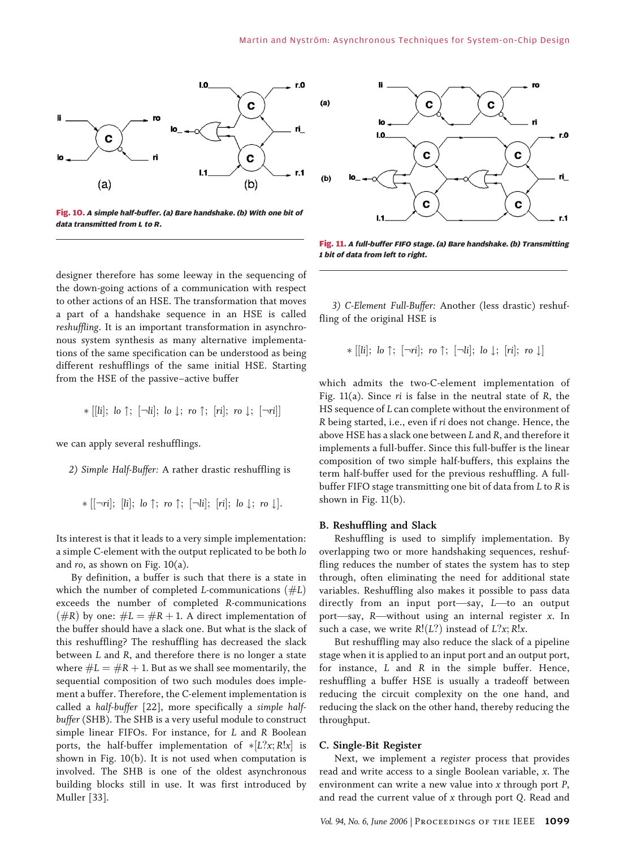

Fig. 10. A simple half-buffer. (a) Bare handshake. (b) With one bit of data transmitted from L to R.



$$
*[[li];\ lo\uparrow;[\neg li];\ lo\downarrow;\ ro\uparrow;[ri];\ ro\downarrow;[\neg ri]]
$$

we can apply several reshufflings.

- 2) Simple Half-Buffer: A rather drastic reshuffling is
	- $*[[\neg ri]; [li]; \text{lo} \uparrow; \text{ro} \uparrow; [\neg li]; [ri]; \text{lo} \downarrow; \text{ro} \downarrow].$

Its interest is that it leads to a very simple implementation: a simple C-element with the output replicated to be both lo and ro, as shown on Fig. 10(a).

By definition, a buffer is such that there is a state in which the number of completed L-communications  $(\#L)$ exceeds the number of completed R-communications  $(\#R)$  by one:  $\#L = \#R + 1$ . A direct implementation of the buffer should have a slack one. But what is the slack of this reshuffling? The reshuffling has decreased the slack between L and R, and therefore there is no longer a state where  $#L = #R + 1$ . But as we shall see momentarily, the sequential composition of two such modules does implement a buffer. Therefore, the C-element implementation is called a half-buffer [22], more specifically a simple halfbuffer (SHB). The SHB is a very useful module to construct simple linear FIFOs. For instance, for L and R Boolean ports, the half-buffer implementation of  $\angle L?x; R!x$  is shown in Fig. 10(b). It is not used when computation is involved. The SHB is one of the oldest asynchronous building blocks still in use. It was first introduced by Muller [33].



Fig. 11. A full-buffer FIFO stage. (a) Bare handshake. (b) Transmitting 1 bit of data from left to right.

3) C-Element Full-Buffer: Another (less drastic) reshuffling of the original HSE is

$$
*[[li];\ lo\upharpoonright;[\neg ri];\ ro\upharpoonright;[\neg li];\ lo\downarrow;[ri];\ ro\downharpoonright]
$$

which admits the two-C-element implementation of Fig.  $11(a)$ . Since *ri* is false in the neutral state of R, the HS sequence of L can complete without the environment of R being started, i.e., even if ri does not change. Hence, the above HSE has a slack one between L and R, and therefore it implements a full-buffer. Since this full-buffer is the linear composition of two simple half-buffers, this explains the term half-buffer used for the previous reshuffling. A fullbuffer FIFO stage transmitting one bit of data from L to R is shown in Fig. 11(b).

#### B. Reshuffling and Slack

Reshuffling is used to simplify implementation. By overlapping two or more handshaking sequences, reshuffling reduces the number of states the system has to step through, often eliminating the need for additional state variables. Reshuffling also makes it possible to pass data directly from an input port-say,  $L$ -to an output port-say, R-without using an internal register  $x$ . In such a case, we write  $R!(L?)$  instead of  $L?x; R!x$ .

But reshuffling may also reduce the slack of a pipeline stage when it is applied to an input port and an output port, for instance, L and R in the simple buffer. Hence, reshuffling a buffer HSE is usually a tradeoff between reducing the circuit complexity on the one hand, and reducing the slack on the other hand, thereby reducing the throughput.

#### C. Single-Bit Register

Next, we implement a register process that provides read and write access to a single Boolean variable, x. The environment can write a new value into x through port P, and read the current value of x through port Q. Read and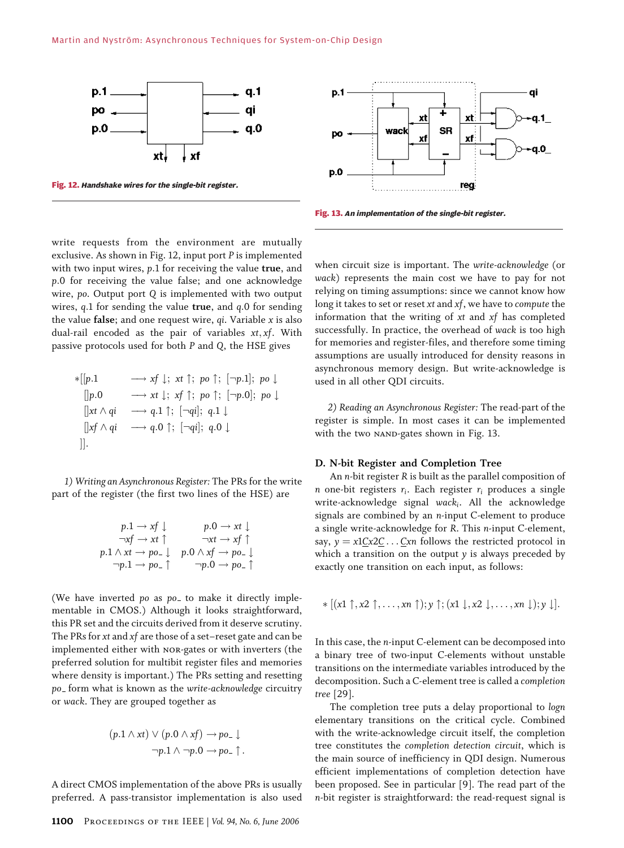

Fig. 12. Handshake wires for the single-bit register.



Fig. 13. An implementation of the single-bit register.

write requests from the environment are mutually exclusive. As shown in Fig. 12, input port P is implemented with two input wires,  $p.1$  for receiving the value true, and p:0 for receiving the value false; and one acknowledge wire, po. Output port Q is implemented with two output wires,  $q.1$  for sending the value true, and  $q.0$  for sending the value false; and one request wire,  $qi$ . Variable  $x$  is also dual-rail encoded as the pair of variables  $xt, xf$ . With passive protocols used for both P and Q, the HSE gives

$$
\begin{array}{ll}\n*[p.1 \quad \longrightarrow xf \downarrow; xt \uparrow; po \uparrow; [\neg p.1]; po \downarrow \\
[]p.0 \quad \longrightarrow xt \downarrow; xf \uparrow; po \uparrow; [\neg p.0]; po \downarrow \\
[]xt \wedge qi \quad \longrightarrow q.1 \uparrow; [\neg qi]; q.1 \downarrow \\
[]xf \wedge qi \quad \longrightarrow q.0 \uparrow; [\neg qi]; q.0 \downarrow \\
]].\n\end{array}
$$

1) Writing an Asynchronous Register: The PRs for the write part of the register (the first two lines of the HSE) are

$$
\begin{array}{ccc}\np.1 \rightarrow xf \downarrow & p.0 \rightarrow xt \downarrow \\
\neg xf \rightarrow xt \uparrow & \neg xt \rightarrow xf \uparrow \\
p.1 \land xt \rightarrow po_+ \downarrow & p.0 \land xf \rightarrow po_- \downarrow \\
\neg p.1 \rightarrow po_- \uparrow & \neg p.0 \rightarrow po_- \uparrow\n\end{array}
$$

(We have inverted po as po to make it directly implementable in CMOS.) Although it looks straightforward, this PR set and the circuits derived from it deserve scrutiny. The PRs for xt and xf are those of a set-reset gate and can be implemented either with nor-gates or with inverters (the preferred solution for multibit register files and memories where density is important.) The PRs setting and resetting po\_ form what is known as the write-acknowledge circuitry or wack. They are grouped together as

$$
(p.1 \land xt) \lor (p.0 \land xf) \rightarrow po_-\downarrow
$$
  

$$
\neg p.1 \land \neg p.0 \rightarrow po_-\uparrow.
$$

A direct CMOS implementation of the above PRs is usually preferred. A pass-transistor implementation is also used when circuit size is important. The write-acknowledge (or wack) represents the main cost we have to pay for not relying on timing assumptions: since we cannot know how long it takes to set or reset xt and xf, we have to compute the information that the writing of xt and xf has completed successfully. In practice, the overhead of wack is too high for memories and register-files, and therefore some timing assumptions are usually introduced for density reasons in asynchronous memory design. But write-acknowledge is used in all other QDI circuits.

2) Reading an Asynchronous Register: The read-part of the register is simple. In most cases it can be implemented with the two NAND-gates shown in Fig. 13.

#### D. N-bit Register and Completion Tree

An n-bit register R is built as the parallel composition of n one-bit registers  $r_i$ . Each register  $r_i$  produces a single write-acknowledge signal wack<sub>i</sub>. All the acknowledge signals are combined by an n-input C-element to produce a single write-acknowledge for R. This n-input C-element, say,  $y = x1Cx2C...$  Cxn follows the restricted protocol in which a transition on the output y is always preceded by exactly one transition on each input, as follows:

$$
* [(x1 \uparrow, x2 \uparrow, \ldots, xn \uparrow); y \uparrow; (x1 \downarrow, x2 \downarrow, \ldots, xn \downarrow); y \downarrow].
$$

In this case, the n-input C-element can be decomposed into a binary tree of two-input C-elements without unstable transitions on the intermediate variables introduced by the decomposition. Such a C-element tree is called a completion tree [29].

The completion tree puts a delay proportional to logn elementary transitions on the critical cycle. Combined with the write-acknowledge circuit itself, the completion tree constitutes the completion detection circuit, which is the main source of inefficiency in QDI design. Numerous efficient implementations of completion detection have been proposed. See in particular [9]. The read part of the n-bit register is straightforward: the read-request signal is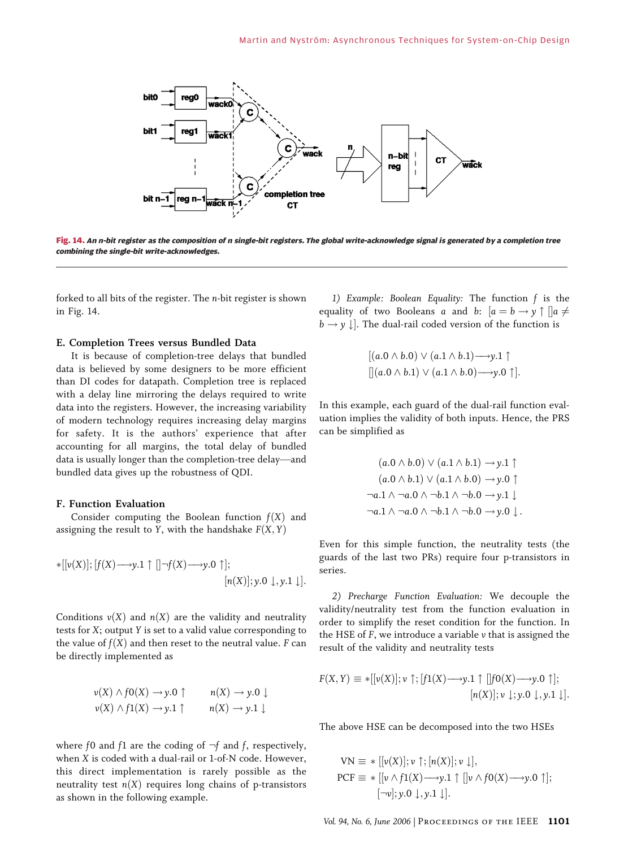

Fig. 14. An n-bit register as the composition of n single-bit registers. The global write-acknowledge signal is generated by a completion tree combining the single-bit write-acknowledges.

forked to all bits of the register. The n-bit register is shown in Fig. 14.

## E. Completion Trees versus Bundled Data

It is because of completion-tree delays that bundled data is believed by some designers to be more efficient than DI codes for datapath. Completion tree is replaced with a delay line mirroring the delays required to write data into the registers. However, the increasing variability of modern technology requires increasing delay margins for safety. It is the authors' experience that after accounting for all margins, the total delay of bundled data is usually longer than the completion-tree delay—and bundled data gives up the robustness of QDI.

#### F. Function Evaluation

Consider computing the Boolean function  $f(X)$  and assigning the result to Y, with the handshake  $F(X, Y)$ 

$$
*[[v(X)]; [f(X) \longrightarrow y.1 \uparrow [] \neg f(X) \longrightarrow y.0 \uparrow];[n(X)]; y.0 \downarrow, y.1 \downarrow].
$$

Conditions  $v(X)$  and  $n(X)$  are the validity and neutrality tests for X; output Y is set to a valid value corresponding to the value of  $f(X)$  and then reset to the neutral value. F can be directly implemented as

$$
\begin{array}{ll}\n v(X) \wedge f0(X) \to y.0 \uparrow & n(X) \to y.0 \downarrow \\
 v(X) \wedge f1(X) \to y.1 \uparrow & n(X) \to y.1 \downarrow\n \end{array}
$$

where f0 and f1 are the coding of  $\neg f$  and f, respectively, when X is coded with a dual-rail or 1-of-N code. However, this direct implementation is rarely possible as the neutrality test  $n(X)$  requires long chains of p-transistors as shown in the following example.

1) Example: Boolean Equality: The function f is the equality of two Booleans a and b:  $[a = b \rightarrow y]$   $[]a \neq$  $b \rightarrow y \downarrow$ . The dual-rail coded version of the function is

$$
[(a.0 \wedge b.0) \vee (a.1 \wedge b.1) \longrightarrow y.1 \uparrow
$$
  

$$
[(a.0 \wedge b.1) \vee (a.1 \wedge b.0) \longrightarrow y.0 \uparrow].
$$

In this example, each guard of the dual-rail function evaluation implies the validity of both inputs. Hence, the PRS can be simplified as

$$
(a.0 \wedge b.0) \vee (a.1 \wedge b.1) \rightarrow y.1 \uparrow
$$

$$
(a.0 \wedge b.1) \vee (a.1 \wedge b.0) \rightarrow y.0 \uparrow
$$

$$
\neg a.1 \wedge \neg a.0 \wedge \neg b.1 \wedge \neg b.0 \rightarrow y.1 \downarrow
$$

$$
\neg a.1 \wedge \neg a.0 \wedge \neg b.1 \wedge \neg b.0 \rightarrow y.0 \downarrow.
$$

Even for this simple function, the neutrality tests (the guards of the last two PRs) require four p-transistors in series.

2) Precharge Function Evaluation: We decouple the validity/neutrality test from the function evaluation in order to simplify the reset condition for the function. In the HSE of  $F$ , we introduce a variable  $\nu$  that is assigned the result of the validity and neutrality tests

$$
F(X,Y) \equiv *[[v(X)]; v \uparrow; [f1(X) \longrightarrow y.1 \uparrow [[f0(X) \longrightarrow y.0 \uparrow];[n(X)]; v \downarrow; y.0 \downarrow, y.1 \downarrow].
$$

The above HSE can be decomposed into the two HSEs

$$
VN \equiv * [[v(X)]; v \uparrow; [n(X)]; v \downarrow],
$$
  
PCF  $\equiv * [[v \wedge f1(X) \longrightarrow y.1 \uparrow []v \wedge f0(X) \longrightarrow y.0 \uparrow];$   
 $[\neg v]; y.0 \downarrow, y.1 \downarrow].$ 

Vol. 94, No. 6, June 2006 | PROCEEDINGS OF THE IEEE 1101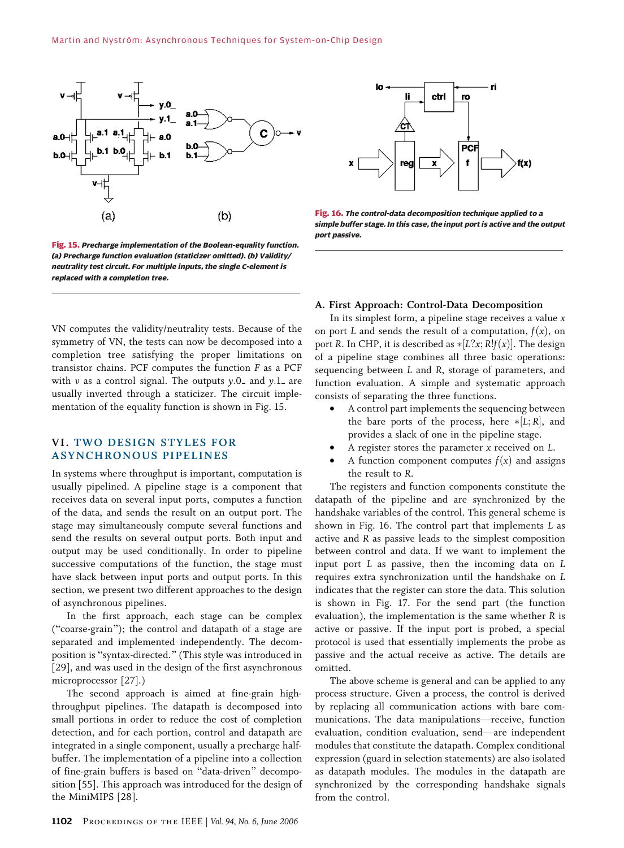

Fig. 15. Precharge implementation of the Boolean-equality function. (a) Precharge function evaluation (staticizer omitted). (b) Validity/ neutrality test circuit. For multiple inputs, the single C-element is replaced with a completion tree.

VN computes the validity/neutrality tests. Because of the symmetry of VN, the tests can now be decomposed into a completion tree satisfying the proper limitations on transistor chains. PCF computes the function F as a PCF with  $v$  as a control signal. The outputs  $y.0$  and  $y.1$  are usually inverted through a staticizer. The circuit implementation of the equality function is shown in Fig. 15.

# VI. TWO DESIGN STYLES FOR ASYNCHRONOUS PIPELINES

In systems where throughput is important, computation is usually pipelined. A pipeline stage is a component that receives data on several input ports, computes a function of the data, and sends the result on an output port. The stage may simultaneously compute several functions and send the results on several output ports. Both input and output may be used conditionally. In order to pipeline successive computations of the function, the stage must have slack between input ports and output ports. In this section, we present two different approaches to the design of asynchronous pipelines.

In the first approach, each stage can be complex ("coarse-grain"); the control and datapath of a stage are separated and implemented independently. The decomposition is "syntax-directed." (This style was introduced in [29], and was used in the design of the first asynchronous microprocessor [27].)

The second approach is aimed at fine-grain highthroughput pipelines. The datapath is decomposed into small portions in order to reduce the cost of completion detection, and for each portion, control and datapath are integrated in a single component, usually a precharge halfbuffer. The implementation of a pipeline into a collection of fine-grain buffers is based on "data-driven" decomposition [55]. This approach was introduced for the design of the MiniMIPS [28].



Fig. 16. The control-data decomposition technique applied to a simple buffer stage. In this case, the input port is active and the output port passive.

#### A. First Approach: Control-Data Decomposition

In its simplest form, a pipeline stage receives a value x on port L and sends the result of a computation,  $f(x)$ , on port R. In CHP, it is described as  $\frac{E}{x}$ ; R! $f(x)$ . The design of a pipeline stage combines all three basic operations: sequencing between L and R, storage of parameters, and function evaluation. A simple and systematic approach consists of separating the three functions.

- A control part implements the sequencing between the bare ports of the process, here  $\ast[L; R]$ , and provides a slack of one in the pipeline stage.
- A register stores the parameter x received on L.
- A function component computes  $f(x)$  and assigns the result to R.

The registers and function components constitute the datapath of the pipeline and are synchronized by the handshake variables of the control. This general scheme is shown in Fig. 16. The control part that implements L as active and R as passive leads to the simplest composition between control and data. If we want to implement the input port L as passive, then the incoming data on L requires extra synchronization until the handshake on L indicates that the register can store the data. This solution is shown in Fig. 17. For the send part (the function evaluation), the implementation is the same whether R is active or passive. If the input port is probed, a special protocol is used that essentially implements the probe as passive and the actual receive as active. The details are omitted.

The above scheme is general and can be applied to any process structure. Given a process, the control is derived by replacing all communication actions with bare communications. The data manipulations—receive, function evaluation, condition evaluation, send-are independent modules that constitute the datapath. Complex conditional expression (guard in selection statements) are also isolated as datapath modules. The modules in the datapath are synchronized by the corresponding handshake signals from the control.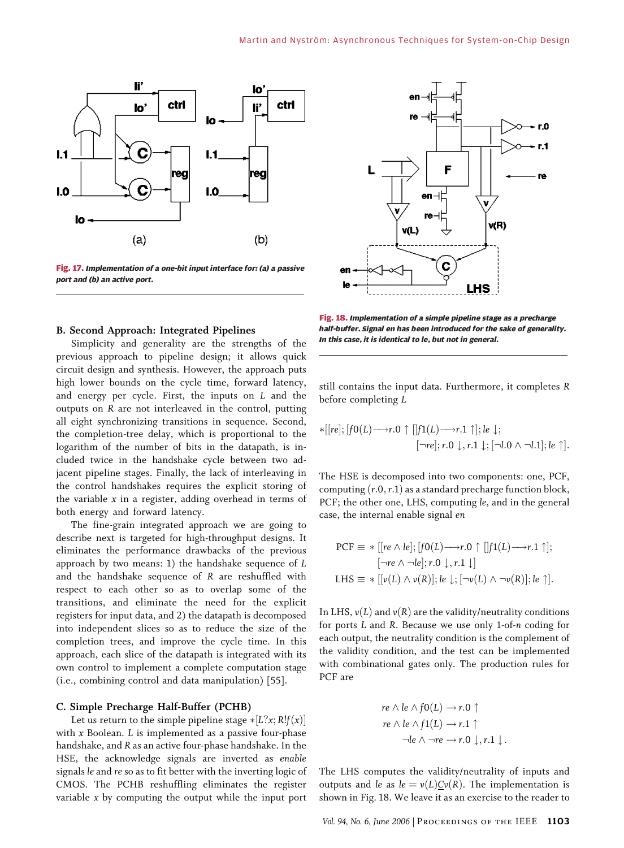

Fig. 17. Implementation of a one-bit input interface for: (a) a passive port and (b) an active port.

#### B. Second Approach: Integrated Pipelines

Simplicity and generality are the strengths of the previous approach to pipeline design; it allows quick circuit design and synthesis. However, the approach puts high lower bounds on the cycle time, forward latency, and energy per cycle. First, the inputs on L and the outputs on R are not interleaved in the control, putting all eight synchronizing transitions in sequence. Second, the completion-tree delay, which is proportional to the logarithm of the number of bits in the datapath, is included twice in the handshake cycle between two adjacent pipeline stages. Finally, the lack of interleaving in the control handshakes requires the explicit storing of the variable  $x$  in a register, adding overhead in terms of both energy and forward latency.

The fine-grain integrated approach we are going to describe next is targeted for high-throughput designs. It eliminates the performance drawbacks of the previous approach by two means: 1) the handshake sequence of L and the handshake sequence of R are reshuffled with respect to each other so as to overlap some of the transitions, and eliminate the need for the explicit registers for input data, and 2) the datapath is decomposed into independent slices so as to reduce the size of the completion trees, and improve the cycle time. In this approach, each slice of the datapath is integrated with its own control to implement a complete computation stage (i.e., combining control and data manipulation) [55].

## C. Simple Precharge Half-Buffer (PCHB)

Let us return to the simple pipeline stage  $\angle [L?x; R!f(x)]$ with x Boolean. L is implemented as a passive four-phase handshake, and R as an active four-phase handshake. In the HSE, the acknowledge signals are inverted as enable signals le and re so as to fit better with the inverting logic of CMOS. The PCHB reshuffling eliminates the register variable x by computing the output while the input port



Fig. 18. Implementation of a simple pipeline stage as a precharge half-buffer. Signal en has been introduced for the sake of generality. In this case, it is identical to le, but not in general.

still contains the input data. Furthermore, it completes R before completing L

$$
*[[re]; [f0(L) \longrightarrow r. 0 \uparrow []f1(L) \longrightarrow r. 1 \uparrow]; le \downarrow;
$$
  

$$
[\neg re]; r. 0 \downarrow, r. 1 \downarrow; [\neg l. 0 \land \neg l. 1]; le \uparrow].
$$

The HSE is decomposed into two components: one, PCF, computing  $(r.0, r.1)$  as a standard precharge function block, PCF; the other one, LHS, computing le, and in the general case, the internal enable signal en

$$
PCF \equiv *[[re \wedge le]; [f0(L) \longrightarrow r. 0 \uparrow [[f1(L) \longrightarrow r. 1 \uparrow];[\neg re \wedge \neg le]; r. 0 \downarrow, r. 1 \downarrow]LHS \equiv *[[v(L) \wedge v(R)]; le \downarrow; [\neg v(L) \wedge \neg v(R)]; le \uparrow].
$$

In LHS,  $v(L)$  and  $v(R)$  are the validity/neutrality conditions for ports L and R. Because we use only 1-of-n coding for each output, the neutrality condition is the complement of the validity condition, and the test can be implemented with combinational gates only. The production rules for PCF are

$$
re \land le \land f0(L) \to r.0 \uparrow
$$
  

$$
re \land le \land f1(L) \to r.1 \uparrow
$$
  

$$
\neg le \land \neg re \to r.0 \downarrow, r.1 \downarrow.
$$

The LHS computes the validity/neutrality of inputs and outputs and le as  $le = v(L)\underline{C}v(R)$ . The implementation is shown in Fig. 18. We leave it as an exercise to the reader to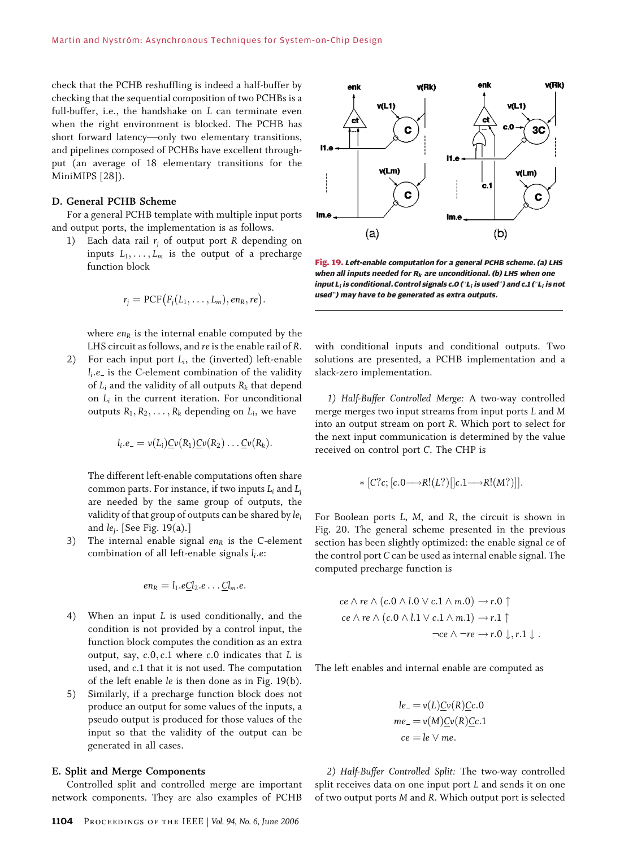check that the PCHB reshuffling is indeed a half-buffer by checking that the sequential composition of two PCHBs is a full-buffer, i.e., the handshake on L can terminate even when the right environment is blocked. The PCHB has short forward latency-only two elementary transitions, and pipelines composed of PCHBs have excellent throughput (an average of 18 elementary transitions for the MiniMIPS [28]).

#### D. General PCHB Scheme

For a general PCHB template with multiple input ports and output ports, the implementation is as follows.

1) Each data rail  $r_i$  of output port R depending on inputs  $L_1, \ldots, L_m$  is the output of a precharge function block

$$
r_j = PCF(F_j(L_1, \ldots, L_m), en_R, re).
$$

where  $en_R$  is the internal enable computed by the LHS circuit as follows, and re is the enable rail of R.

2) For each input port  $L_i$ , the (inverted) left-enable  $l_i.e.$  is the C-element combination of the validity of  $L_i$  and the validity of all outputs  $R_k$  that depend on  $L_i$  in the current iteration. For unconditional outputs  $R_1, R_2, \ldots, R_k$  depending on  $L_i$ , we have

$$
l_i.e = \nu(L_i)\underline{C}\nu(R_1)\underline{C}\nu(R_2)\ldots\underline{C}\nu(R_k).
$$

The different left-enable computations often share common parts. For instance, if two inputs  $L_i$  and  $L_j$ are needed by the same group of outputs, the validity of that group of outputs can be shared by  $le_i$ and lej. [See Fig. 19(a).]

3) The internal enable signal  $en_R$  is the C-element combination of all left-enable signals  $l_i.e$ :

$$
en_R = l_1.eC l_2.e...C l_m.e.
$$

- 4) When an input L is used conditionally, and the condition is not provided by a control input, the function block computes the condition as an extra output, say,  $c.0$ ,  $c.1$  where  $c.0$  indicates that  $L$  is used, and c:1 that it is not used. The computation of the left enable le is then done as in Fig. 19(b).
- 5) Similarly, if a precharge function block does not produce an output for some values of the inputs, a pseudo output is produced for those values of the input so that the validity of the output can be generated in all cases.

# E. Split and Merge Components

Controlled split and controlled merge are important network components. They are also examples of PCHB



Fig. 19. Left-enable computation for a general PCHB scheme. (a) LHS when all inputs needed for  $R_k$  are unconditional. (b) LHS when one input L<sub>i</sub> is conditional. Control signals c.0 ("L<sub>i</sub> is used") and c.1 ("L<sub>i</sub> is not used") may have to be generated as extra outputs.

with conditional inputs and conditional outputs. Two solutions are presented, a PCHB implementation and a slack-zero implementation.

1) Half-Buffer Controlled Merge: A two-way controlled merge merges two input streams from input ports L and M into an output stream on port R. Which port to select for the next input communication is determined by the value received on control port C. The CHP is

$$
* [C?c; [c.0 \longrightarrow R!(L?)[[c.1 \longrightarrow R!(M?)]]].
$$

For Boolean ports L, M, and R, the circuit is shown in Fig. 20. The general scheme presented in the previous section has been slightly optimized: the enable signal ce of the control port  $C$  can be used as internal enable signal. The computed precharge function is

$$
ce \land re \land (c.0 \land l.0 \lor c.1 \land m.0) \to r.0 \uparrow
$$
  

$$
ce \land re \land (c.0 \land l.1 \lor c.1 \land m.1) \to r.1 \uparrow
$$
  

$$
\neg ce \land \neg re \to r.0 \downarrow, r.1 \downarrow.
$$

The left enables and internal enable are computed as

$$
le_{-} = v(L)Cv(R)Cc.0
$$
  

$$
me_{-} = v(M)Cv(R)Cc.1
$$
  

$$
ce = le \vee me.
$$

2) Half-Buffer Controlled Split: The two-way controlled split receives data on one input port L and sends it on one of two output ports M and R. Which output port is selected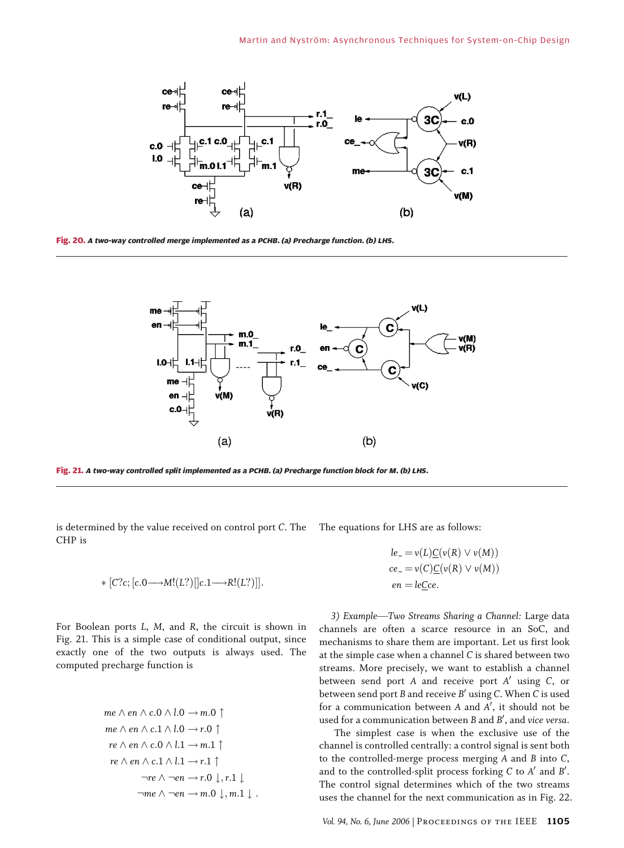

Fig. 20. A two-way controlled merge implemented as a PCHB. (a) Precharge function. (b) LHS.



Fig. 21. A two-way controlled split implemented as a PCHB. (a) Precharge function block for M. (b) LHS.

is determined by the value received on control port C. The CHP is The equations for LHS are as follows:

$$
* [C?c; [c.0 \longrightarrow M!(L?)[[c.1 \longrightarrow R!(L?)]]].
$$

For Boolean ports L, M, and R, the circuit is shown in Fig. 21. This is a simple case of conditional output, since exactly one of the two outputs is always used. The computed precharge function is

$$
me \land en \land c.0 \land l.0 \to m.0 \uparrow
$$
  
\n
$$
me \land en \land c.1 \land l.0 \to r.0 \uparrow
$$
  
\n
$$
re \land en \land c.0 \land l.1 \to m.1 \uparrow
$$
  
\n
$$
re \land en \land c.1 \land l.1 \to r.1 \uparrow
$$
  
\n
$$
\neg re \land \neg en \to r.0 \downarrow, r.1 \downarrow
$$
  
\n
$$
\neg me \land \neg en \to m.0 \downarrow, m.1 \downarrow.
$$

$$
le_{-} = v(L) \underline{C}(v(R) \vee v(M))
$$
  
ce\_{-} = v(C) \underline{C}(v(R) \vee v(M))  
en = le \underline{C}ce.

3) Example-Two Streams Sharing a Channel: Large data channels are often a scarce resource in an SoC, and mechanisms to share them are important. Let us first look at the simple case when a channel C is shared between two streams. More precisely, we want to establish a channel between send port A and receive port  $A'$  using C, or between send port B and receive  $B'$  using C. When C is used for a communication between A and A', it should not be used for a communication between  $B$  and  $B'$ , and vice versa.

The simplest case is when the exclusive use of the channel is controlled centrally: a control signal is sent both to the controlled-merge process merging A and B into C, and to the controlled-split process forking  $C$  to  $A'$  and  $B'$ . The control signal determines which of the two streams uses the channel for the next communication as in Fig. 22.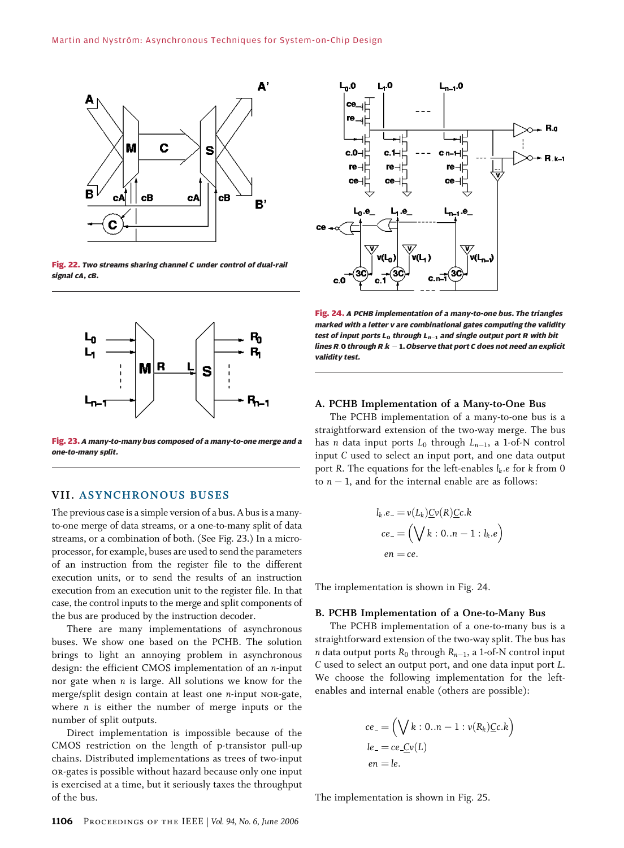

Fig. 22. Two streams sharing channel C under control of dual-rail signal cA, cB.



Fig. 23. A many-to-many bus composed of a many-to-one merge and a one-to-many split.

# VII. ASYNCHRONOUS BUSES

The previous case is a simple version of a bus. A bus is a manyto-one merge of data streams, or a one-to-many split of data streams, or a combination of both. (See Fig. 23.) In a microprocessor, for example, buses are used to send the parameters of an instruction from the register file to the different execution units, or to send the results of an instruction execution from an execution unit to the register file. In that case, the control inputs to the merge and split components of the bus are produced by the instruction decoder.

There are many implementations of asynchronous buses. We show one based on the PCHB. The solution brings to light an annoying problem in asynchronous design: the efficient CMOS implementation of an n-input nor gate when n is large. All solutions we know for the merge/split design contain at least one n-input NOR-gate, where n is either the number of merge inputs or the number of split outputs.

Direct implementation is impossible because of the CMOS restriction on the length of p-transistor pull-up chains. Distributed implementations as trees of two-input or-gates is possible without hazard because only one input is exercised at a time, but it seriously taxes the throughput of the bus.



Fig. 24. A PCHB implementation of a many-to-one bus. The triangles marked with a letter v are combinational gates computing the validity test of input ports  $L_0$  through  $L_{n-1}$  and single output port R with bit lines R $\,$  0 through R $\,k - 1$ . Observe that port C does not need an explicit validity test.

#### A. PCHB Implementation of a Many-to-One Bus

The PCHB implementation of a many-to-one bus is a straightforward extension of the two-way merge. The bus has n data input ports  $L_0$  through  $L_{n-1}$ , a 1-of-N control input C used to select an input port, and one data output port R. The equations for the left-enables  $l_k.e$  for k from 0 to  $n - 1$ , and for the internal enable are as follows:

$$
l_k.e. = v(L_k) \underline{C}v(R) \underline{C}c.k
$$
  
\n
$$
ce. = \left(\bigvee k : 0..n - 1 : l_k.e\right)
$$
  
\n
$$
en = ce.
$$

The implementation is shown in Fig. 24.

#### B. PCHB Implementation of a One-to-Many Bus

The PCHB implementation of a one-to-many bus is a straightforward extension of the two-way split. The bus has *n* data output ports  $R_0$  through  $R_{n-1}$ , a 1-of-N control input C used to select an output port, and one data input port L. We choose the following implementation for the leftenables and internal enable (others are possible):

$$
ce_{-} = \left(\bigvee k : 0..n - 1 : v(R_k)\underline{C}c.k\right)
$$
  
\n
$$
le_{-} = ce_{-}\underline{C}v(L)
$$
  
\n
$$
en = le.
$$

The implementation is shown in Fig. 25.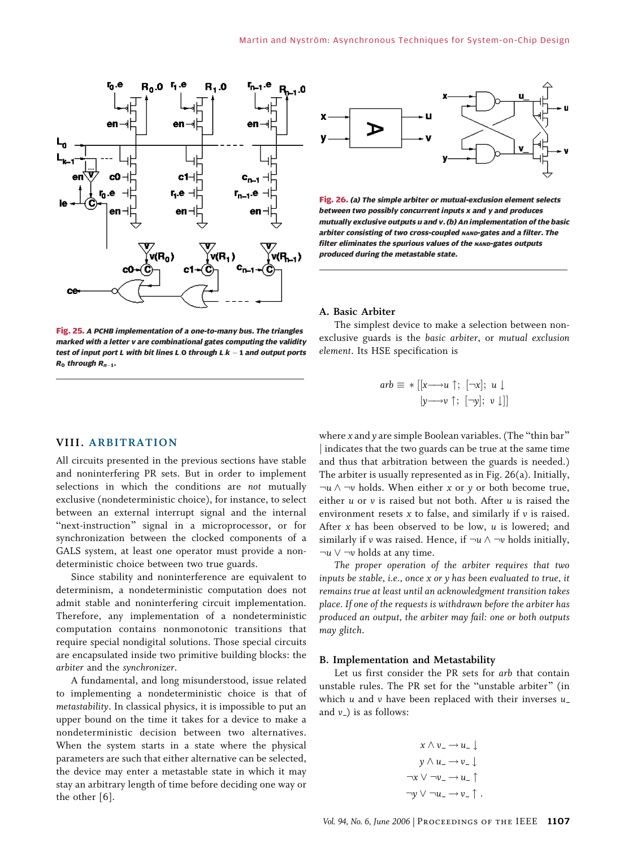

Fig. 25. A PCHB implementation of a one-to-many bus. The triangles marked with a letter v are combinational gates computing the validity test of input port L with bit lines L.O through L. $k-1$  and output ports  $R_0$  through  $R_{n-1}$ .

# VIII. ARBITRATION

All circuits presented in the previous sections have stable and noninterfering PR sets. But in order to implement selections in which the conditions are not mutually exclusive (nondeterministic choice), for instance, to select between an external interrupt signal and the internal "next-instruction" signal in a microprocessor, or for synchronization between the clocked components of a GALS system, at least one operator must provide a nondeterministic choice between two true guards.

Since stability and noninterference are equivalent to determinism, a nondeterministic computation does not admit stable and noninterfering circuit implementation. Therefore, any implementation of a nondeterministic computation contains nonmonotonic transitions that require special nondigital solutions. Those special circuits are encapsulated inside two primitive building blocks: the arbiter and the synchronizer.

A fundamental, and long misunderstood, issue related to implementing a nondeterministic choice is that of metastability. In classical physics, it is impossible to put an upper bound on the time it takes for a device to make a nondeterministic decision between two alternatives. When the system starts in a state where the physical parameters are such that either alternative can be selected, the device may enter a metastable state in which it may stay an arbitrary length of time before deciding one way or the other [6].



Fig. 26. (a) The simple arbiter or mutual-exclusion element selects between two possibly concurrent inputs x and y and produces mutually exclusive outputs u and v. (b) An implementation of the basic arbiter consisting of two cross-coupled NAND-gates and a filter. The filter eliminates the spurious values of the NAND-gates outputs produced during the metastable state.

#### A. Basic Arbiter

The simplest device to make a selection between nonexclusive guards is the basic arbiter, or mutual exclusion element. Its HSE specification is

$$
arb \equiv * [[x \rightarrow u \uparrow; [\neg x]; u \downarrow
$$

$$
[y \rightarrow v \uparrow; [\neg y]; v \downarrow]]
$$

where  $x$  and  $y$  are simple Boolean variables. (The "thin bar" j indicates that the two guards can be true at the same time and thus that arbitration between the guards is needed.) The arbiter is usually represented as in Fig. 26(a). Initially,  $\neg u \wedge \neg v$  holds. When either x or y or both become true, either u or v is raised but not both. After u is raised the environment resets  $x$  to false, and similarly if  $v$  is raised. After  $x$  has been observed to be low,  $u$  is lowered; and similarly if v was raised. Hence, if  $\neg u \wedge \neg v$  holds initially,  $\neg u \lor \neg v$  holds at any time.

The proper operation of the arbiter requires that two inputs be stable, i.e., once x or y has been evaluated to true, it remains true at least until an acknowledgment transition takes place. If one of the requests is withdrawn before the arbiter has produced an output, the arbiter may fail: one or both outputs may glitch.

#### B. Implementation and Metastability

Let us first consider the PR sets for arb that contain unstable rules. The PR set for the "unstable arbiter" (in which  $u$  and  $v$  have been replaced with their inverses  $u$ . and  $v_$ ) is as follows:

$$
x \wedge v_{-} \rightarrow u_{-} \downarrow
$$
  
\n
$$
y \wedge u_{-} \rightarrow v_{-} \downarrow
$$
  
\n
$$
\neg x \vee \neg v_{-} \rightarrow u_{-} \uparrow
$$
  
\n
$$
\neg y \vee \neg u_{-} \rightarrow v_{-} \uparrow.
$$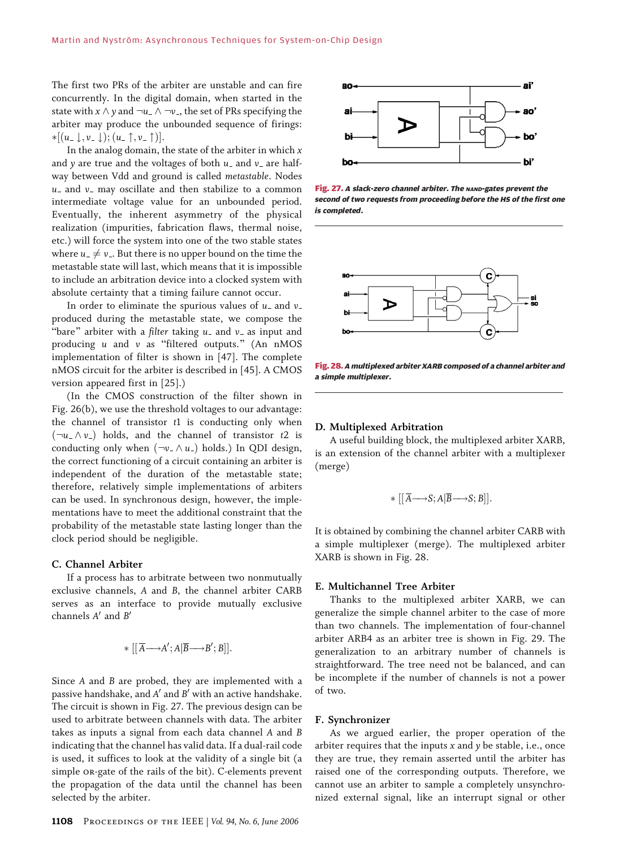The first two PRs of the arbiter are unstable and can fire concurrently. In the digital domain, when started in the state with  $x \wedge y$  and  $\neg u_-\wedge \neg v_-,$  the set of PRs specifying the arbiter may produce the unbounded sequence of firings:  $*[(u_+), v_-], (u_- \uparrow, v_- \uparrow)].$ 

In the analog domain, the state of the arbiter in which  $x$ and y are true and the voltages of both  $u_$  and  $v_$  are halfway between Vdd and ground is called metastable. Nodes  $u_$  and  $v_$  may oscillate and then stabilize to a common intermediate voltage value for an unbounded period. Eventually, the inherent asymmetry of the physical realization (impurities, fabrication flaws, thermal noise, etc.) will force the system into one of the two stable states where  $u_{-} \neq v_{-}$ . But there is no upper bound on the time the metastable state will last, which means that it is impossible to include an arbitration device into a clocked system with absolute certainty that a timing failure cannot occur.

In order to eliminate the spurious values of  $u_$  and  $v_$ produced during the metastable state, we compose the "bare" arbiter with a filter taking  $u_$  and  $v_$  as input and producing  $u$  and  $v$  as "filtered outputs." (An nMOS implementation of filter is shown in [47]. The complete nMOS circuit for the arbiter is described in [45]. A CMOS version appeared first in [25].)

(In the CMOS construction of the filter shown in Fig. 26(b), we use the threshold voltages to our advantage: the channel of transistor  $t1$  is conducting only when  $(\neg u_-\land v_-)$  holds, and the channel of transistor t2 is conducting only when  $(\neg v_-\land u_-)$  holds.) In QDI design, the correct functioning of a circuit containing an arbiter is independent of the duration of the metastable state; therefore, relatively simple implementations of arbiters can be used. In synchronous design, however, the implementations have to meet the additional constraint that the probability of the metastable state lasting longer than the clock period should be negligible.

# C. Channel Arbiter

If a process has to arbitrate between two nonmutually exclusive channels, A and B, the channel arbiter CARB serves as an interface to provide mutually exclusive channels  $A'$  and  $B'$ 

$$
*[[\overline{A} \longrightarrow A';A|\overline{B} \longrightarrow B';B]].
$$

Since A and B are probed, they are implemented with a passive handshake, and  $A'$  and  $B'$  with an active handshake. The circuit is shown in Fig. 27. The previous design can be used to arbitrate between channels with data. The arbiter takes as inputs a signal from each data channel A and B indicating that the channel has valid data. If a dual-rail code is used, it suffices to look at the validity of a single bit (a simple OR-gate of the rails of the bit). C-elements prevent the propagation of the data until the channel has been selected by the arbiter.



Fig. 27. A slack-zero channel arbiter. The NAND-gates prevent the second of two requests from proceeding before the HS of the first one is completed.



Fig. 28. A multiplexed arbiter XARB composed of a channel arbiter and a simple multiplexer.

## D. Multiplexed Arbitration

A useful building block, the multiplexed arbiter XARB, is an extension of the channel arbiter with a multiplexer (merge)

$$
*[[\overline{A} \longrightarrow S; A|\overline{B} \longrightarrow S; B]].
$$

It is obtained by combining the channel arbiter CARB with a simple multiplexer (merge). The multiplexed arbiter XARB is shown in Fig. 28.

#### E. Multichannel Tree Arbiter

Thanks to the multiplexed arbiter XARB, we can generalize the simple channel arbiter to the case of more than two channels. The implementation of four-channel arbiter ARB4 as an arbiter tree is shown in Fig. 29. The generalization to an arbitrary number of channels is straightforward. The tree need not be balanced, and can be incomplete if the number of channels is not a power of two.

#### F. Synchronizer

As we argued earlier, the proper operation of the arbiter requires that the inputs  $x$  and  $y$  be stable, i.e., once they are true, they remain asserted until the arbiter has raised one of the corresponding outputs. Therefore, we cannot use an arbiter to sample a completely unsynchronized external signal, like an interrupt signal or other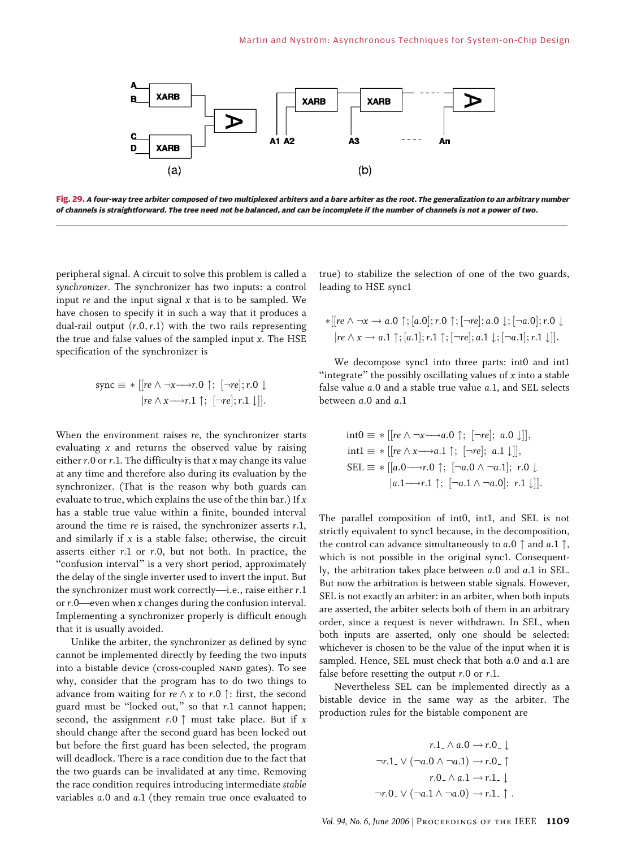

Fig. 29. A four-way tree arbiter composed of two multiplexed arbiters and a bare arbiter as the root. The generalization to an arbitrary number of channels is straightforward. The tree need not be balanced, and can be incomplete if the number of channels is not a power of two.

peripheral signal. A circuit to solve this problem is called a synchronizer. The synchronizer has two inputs: a control input re and the input signal x that is to be sampled. We have chosen to specify it in such a way that it produces a dual-rail output  $(r.0, r.1)$  with the two rails representing the true and false values of the sampled input x. The HSE specification of the synchronizer is

$$
sync \equiv * [[re \land \neg x \longrightarrow r.0 \uparrow; [\neg re]; r.0 \downarrow ]|re \land x \longrightarrow r.1 \uparrow; [\neg re]; r.1 \downarrow]].
$$

When the environment raises re, the synchronizer starts evaluating x and returns the observed value by raising either  $r.0$  or  $r.1$ . The difficulty is that x may change its value at any time and therefore also during its evaluation by the synchronizer. (That is the reason why both guards can evaluate to true, which explains the use of the thin bar.) If  $x$ has a stable true value within a finite, bounded interval around the time re is raised, the synchronizer asserts r:1, and similarly if  $x$  is a stable false; otherwise, the circuit asserts either  $r.1$  or  $r.0$ , but not both. In practice, the "confusion interval" is a very short period, approximately the delay of the single inverter used to invert the input. But the synchronizer must work correctly—i.e., raise either  $r.1$ or  $r.0$ —even when x changes during the confusion interval. Implementing a synchronizer properly is difficult enough that it is usually avoided.

Unlike the arbiter, the synchronizer as defined by sync cannot be implemented directly by feeding the two inputs into a bistable device (cross-coupled NAND gates). To see why, consider that the program has to do two things to advance from waiting for  $re \wedge x$  to r.0  $\uparrow$ : first, the second guard must be "locked out," so that  $r.1$  cannot happen; second, the assignment r.0  $\uparrow$  must take place. But if x should change after the second guard has been locked out but before the first guard has been selected, the program will deadlock. There is a race condition due to the fact that the two guards can be invalidated at any time. Removing the race condition requires introducing intermediate stable variables a.0 and a.1 (they remain true once evaluated to true) to stabilize the selection of one of the two guards, leading to HSE sync1

$$
*[[re \wedge \neg x \rightarrow a.0 \uparrow; [a.0]; r.0 \uparrow; [\neg re]; a.0 \downarrow; [\neg a.0]; r.0 \downarrow
$$
  

$$
[re \wedge x \rightarrow a.1 \uparrow; [a.1]; r.1 \uparrow; [\neg re]; a.1 \downarrow; [\neg a.1]; r.1 \downarrow]].
$$

We decompose sync1 into three parts: int0 and int1 "integrate" the possibly oscillating values of  $x$  into a stable false value a.0 and a stable true value a.1, and SEL selects between a.0 and a.1

$$
\begin{aligned}\n\text{int0} &\equiv * \left[ [re \land \neg x \longrightarrow a.0 \uparrow; \left[ \neg rel \right]; a.0 \downarrow] \right], \\
\text{int1} &\equiv * \left[ [re \land x \longrightarrow a.1 \uparrow; \left[ \neg rel \right]; a.1 \downarrow] \right], \\
\text{SEL} &\equiv * \left[ [a.0 \longrightarrow r.0 \uparrow; \left[ \neg a.0 \land \neg a.1 \right]; r.0 \downarrow \right] \\
& |a.1 \longrightarrow r.1 \uparrow; \left[ \neg a.1 \land \neg a.0 \right]; r.1 \downarrow] \right].\n\end{aligned}
$$

The parallel composition of int0, int1, and SEL is not strictly equivalent to sync1 because, in the decomposition, the control can advance simultaneously to a.0  $\uparrow$  and a.1  $\uparrow$ , which is not possible in the original sync1. Consequently, the arbitration takes place between a:0 and a:1 in SEL. But now the arbitration is between stable signals. However, SEL is not exactly an arbiter: in an arbiter, when both inputs are asserted, the arbiter selects both of them in an arbitrary order, since a request is never withdrawn. In SEL, when both inputs are asserted, only one should be selected: whichever is chosen to be the value of the input when it is sampled. Hence, SEL must check that both a.0 and a.1 are false before resetting the output  $r.0$  or  $r.1$ .

Nevertheless SEL can be implemented directly as a bistable device in the same way as the arbiter. The production rules for the bistable component are

$$
r.1\_\land a.0\to r.0\_\downarrow
$$
  
\n
$$
\neg r.1\_\lor (\neg a.0 \land \neg a.1)\to r.0\_\uparrow
$$
  
\n
$$
r.0\_\land a.1\to r.1\_\downarrow
$$
  
\n
$$
\neg r.0\_\lor (\neg a.1 \land \neg a.0)\to r.1\_\uparrow.
$$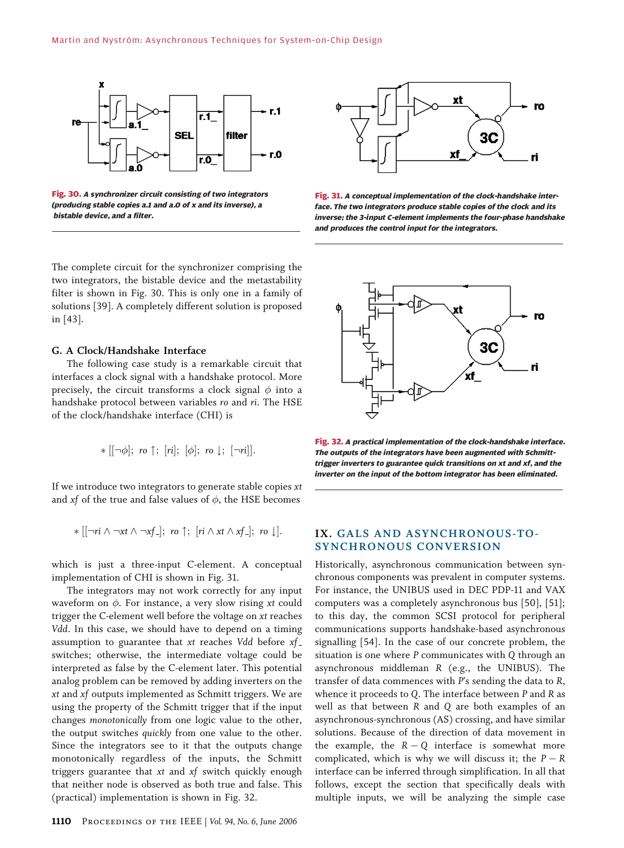

Fig. 30. A synchronizer circuit consisting of two integrators (producing stable copies a.1 and a.0 of x and its inverse), a bistable device, and a filter.



Fig. 31. A conceptual implementation of the clock-handshake interface. The two integrators produce stable copies of the clock and its inverse; the 3-input C-element implements the four-phase handshake and produces the control input for the integrators.

The complete circuit for the synchronizer comprising the two integrators, the bistable device and the metastability filter is shown in Fig. 30. This is only one in a family of solutions [39]. A completely different solution is proposed in [43].

### G. A Clock/Handshake Interface

The following case study is a remarkable circuit that interfaces a clock signal with a handshake protocol. More precisely, the circuit transforms a clock signal  $\phi$  into a handshake protocol between variables ro and ri. The HSE of the clock/handshake interface (CHI) is

$$
* [[\neg \phi];\,\,ro\uparrow;\,\, [ri];\,\, [\phi];\,\,ro\,\downarrow;\,\, [\neg ri]].
$$

If we introduce two integrators to generate stable copies xt and xf of the true and false values of  $\phi$ , the HSE becomes

$$
* [[\neg ri \wedge \neg xt \wedge \neg xf_{-}];\ ro \uparrow; [ri \wedge xt \wedge xf_{-}];\ ro \downarrow].
$$

which is just a three-input C-element. A conceptual implementation of CHI is shown in Fig. 31.

The integrators may not work correctly for any input waveform on  $\phi$ . For instance, a very slow rising xt could trigger the C-element well before the voltage on xt reaches Vdd. In this case, we should have to depend on a timing assumption to guarantee that  $xt$  reaches Vdd before  $xf$ . switches; otherwise, the intermediate voltage could be interpreted as false by the C-element later. This potential analog problem can be removed by adding inverters on the xt and xf outputs implemented as Schmitt triggers. We are using the property of the Schmitt trigger that if the input changes monotonically from one logic value to the other, the output switches quickly from one value to the other. Since the integrators see to it that the outputs change monotonically regardless of the inputs, the Schmitt triggers guarantee that xt and xf switch quickly enough that neither node is observed as both true and false. This (practical) implementation is shown in Fig. 32.



Fig. 32. A practical implementation of the clock-handshake interface. The outputs of the integrators have been augmented with Schmitttrigger inverters to guarantee quick transitions on xt and xf, and the inverter on the input of the bottom integrator has been eliminated.

# IX. GALS AND ASYNCHRONOUS-TO-SYNCHRONOUS CONVERSION

Historically, asynchronous communication between synchronous components was prevalent in computer systems. For instance, the UNIBUS used in DEC PDP-11 and VAX computers was a completely asynchronous bus [50], [51]; to this day, the common SCSI protocol for peripheral communications supports handshake-based asynchronous signalling [54]. In the case of our concrete problem, the situation is one where P communicates with Q through an asynchronous middleman R (e.g., the UNIBUS). The transfer of data commences with P's sending the data to R, whence it proceeds to Q. The interface between P and R as well as that between R and Q are both examples of an asynchronous-synchronous (AS) crossing, and have similar solutions. Because of the direction of data movement in the example, the  $R - Q$  interface is somewhat more complicated, which is why we will discuss it; the  $P - R$ interface can be inferred through simplification. In all that follows, except the section that specifically deals with multiple inputs, we will be analyzing the simple case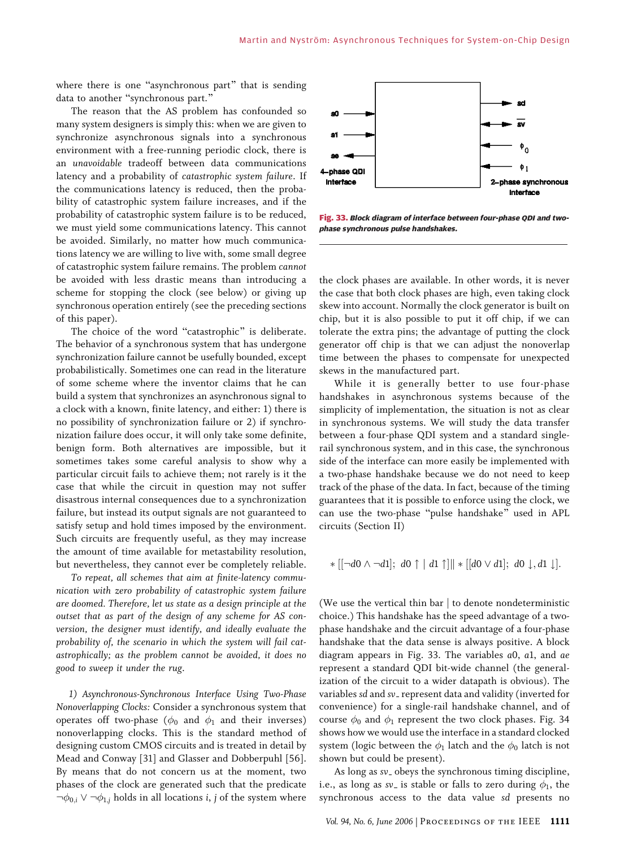where there is one "asynchronous part" that is sending data to another "synchronous part."

The reason that the AS problem has confounded so many system designers is simply this: when we are given to synchronize asynchronous signals into a synchronous environment with a free-running periodic clock, there is an unavoidable tradeoff between data communications latency and a probability of catastrophic system failure. If the communications latency is reduced, then the probability of catastrophic system failure increases, and if the probability of catastrophic system failure is to be reduced, we must yield some communications latency. This cannot be avoided. Similarly, no matter how much communications latency we are willing to live with, some small degree of catastrophic system failure remains. The problem cannot be avoided with less drastic means than introducing a scheme for stopping the clock (see below) or giving up synchronous operation entirely (see the preceding sections of this paper).

The choice of the word "catastrophic" is deliberate. The behavior of a synchronous system that has undergone synchronization failure cannot be usefully bounded, except probabilistically. Sometimes one can read in the literature of some scheme where the inventor claims that he can build a system that synchronizes an asynchronous signal to a clock with a known, finite latency, and either: 1) there is no possibility of synchronization failure or 2) if synchronization failure does occur, it will only take some definite, benign form. Both alternatives are impossible, but it sometimes takes some careful analysis to show why a particular circuit fails to achieve them; not rarely is it the case that while the circuit in question may not suffer disastrous internal consequences due to a synchronization failure, but instead its output signals are not guaranteed to satisfy setup and hold times imposed by the environment. Such circuits are frequently useful, as they may increase the amount of time available for metastability resolution, but nevertheless, they cannot ever be completely reliable.

To repeat, all schemes that aim at finite-latency communication with zero probability of catastrophic system failure are doomed. Therefore, let us state as a design principle at the outset that as part of the design of any scheme for AS conversion, the designer must identify, and ideally evaluate the probability of, the scenario in which the system will fail catastrophically; as the problem cannot be avoided, it does no good to sweep it under the rug.

1) Asynchronous-Synchronous Interface Using Two-Phase Nonoverlapping Clocks: Consider a synchronous system that operates off two-phase ( $\phi_0$  and  $\phi_1$  and their inverses) nonoverlapping clocks. This is the standard method of designing custom CMOS circuits and is treated in detail by Mead and Conway [31] and Glasser and Dobberpuhl [56]. By means that do not concern us at the moment, two phases of the clock are generated such that the predicate  $\neg \phi_{0,i} \lor \neg \phi_{1,j}$  holds in all locations *i*, *j* of the system where



Fig. 33. Block diagram of interface between four-phase QDI and twophase synchronous pulse handshakes.

the clock phases are available. In other words, it is never the case that both clock phases are high, even taking clock skew into account. Normally the clock generator is built on chip, but it is also possible to put it off chip, if we can tolerate the extra pins; the advantage of putting the clock generator off chip is that we can adjust the nonoverlap time between the phases to compensate for unexpected skews in the manufactured part.

While it is generally better to use four-phase handshakes in asynchronous systems because of the simplicity of implementation, the situation is not as clear in synchronous systems. We will study the data transfer between a four-phase QDI system and a standard singlerail synchronous system, and in this case, the synchronous side of the interface can more easily be implemented with a two-phase handshake because we do not need to keep track of the phase of the data. In fact, because of the timing guarantees that it is possible to enforce using the clock, we can use the two-phase "pulse handshake" used in APL circuits (Section II)

$$
*[[\neg d0 \wedge \neg d1]; d0 \uparrow | d1 \uparrow]|| *[[d0 \vee d1]; d0 \downarrow, d1 \downarrow].
$$

(We use the vertical thin bar  $\vert$  to denote nondeterministic choice.) This handshake has the speed advantage of a twophase handshake and the circuit advantage of a four-phase handshake that the data sense is always positive. A block diagram appears in Fig. 33. The variables a0, a1, and ae represent a standard QDI bit-wide channel (the generalization of the circuit to a wider datapath is obvious). The variables sd and sv\_represent data and validity (inverted for convenience) for a single-rail handshake channel, and of course  $\phi_0$  and  $\phi_1$  represent the two clock phases. Fig. 34 shows how we would use the interface in a standard clocked system (logic between the  $\phi_1$  latch and the  $\phi_0$  latch is not shown but could be present).

As long as sv<sub>-</sub> obeys the synchronous timing discipline, i.e., as long as sv is stable or falls to zero during  $\phi_1$ , the synchronous access to the data value sd presents no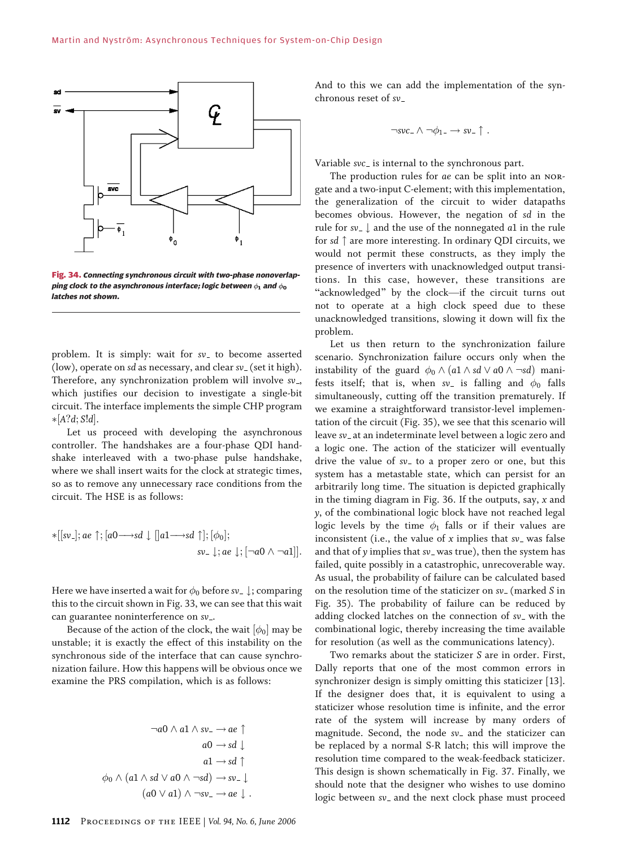

Fig. 34. Connecting synchronous circuit with two-phase nonoverlapping clock to the asynchronous interface; logic between  $\phi_1$  and  $\phi_0$ latches not shown.

problem. It is simply: wait for sv\_ to become asserted (low), operate on sd as necessary, and clear sv<sub>-</sub> (set it high). Therefore, any synchronization problem will involve sv<sub>-</sub>, which justifies our decision to investigate a single-bit circuit. The interface implements the simple CHP program  $*[A?d; S'd]$ .

Let us proceed with developing the asynchronous controller. The handshakes are a four-phase QDI handshake interleaved with a two-phase pulse handshake, where we shall insert waits for the clock at strategic times, so as to remove any unnecessary race conditions from the circuit. The HSE is as follows:

$$
*[[sv_-];ae\uparrow;[a0\longrightarrow sd\downarrow[]a1\longrightarrow sd\uparrow];[\phi_0];sv_+ \downarrow;ae\downarrow;[\neg a0 \land \neg a1]].
$$

Here we have inserted a wait for  $\phi_0$  before sv  $\downarrow$ ; comparing this to the circuit shown in Fig. 33, we can see that this wait can guarantee noninterference on sv...

Because of the action of the clock, the wait  $[\phi_0]$  may be unstable; it is exactly the effect of this instability on the synchronous side of the interface that can cause synchronization failure. How this happens will be obvious once we examine the PRS compilation, which is as follows:

$$
\neg a0 \land a1 \land sv_{-} \rightarrow ae \uparrow
$$
  
\n
$$
a0 \rightarrow sd \downarrow
$$
  
\n
$$
a1 \rightarrow sd \uparrow
$$
  
\n
$$
\phi_0 \land (a1 \land sd \lor a0 \land \neg sd) \rightarrow sv_{-} \downarrow
$$
  
\n
$$
(a0 \lor a1) \land \neg sv_{-} \rightarrow ae \downarrow.
$$

1112 Proceedings of the IEEE | Vol. 94, No. 6, June 2006

And to this we can add the implementation of the synchronous reset of sv

$$
\neg svc_-\wedge \neg \phi_1 \to sv_- \uparrow.
$$

Variable svc\_ is internal to the synchronous part.

The production rules for ae can be split into an NORgate and a two-input C-element; with this implementation, the generalization of the circuit to wider datapaths becomes obvious. However, the negation of sd in the rule for sv  $\downarrow$  and the use of the nonnegated a1 in the rule for sd  $\uparrow$  are more interesting. In ordinary QDI circuits, we would not permit these constructs, as they imply the presence of inverters with unacknowledged output transitions. In this case, however, these transitions are "acknowledged" by the clock-if the circuit turns out not to operate at a high clock speed due to these unacknowledged transitions, slowing it down will fix the problem.

Let us then return to the synchronization failure scenario. Synchronization failure occurs only when the instability of the guard  $\phi_0 \wedge (a_1 \wedge sd \vee a_0 \wedge \neg sd)$  manifests itself; that is, when sv is falling and  $\phi_0$  falls simultaneously, cutting off the transition prematurely. If we examine a straightforward transistor-level implementation of the circuit (Fig. 35), we see that this scenario will leave sv\_ at an indeterminate level between a logic zero and a logic one. The action of the staticizer will eventually drive the value of sv<sub>-</sub> to a proper zero or one, but this system has a metastable state, which can persist for an arbitrarily long time. The situation is depicted graphically in the timing diagram in Fig. 36. If the outputs, say, x and y, of the combinational logic block have not reached legal logic levels by the time  $\phi_1$  falls or if their values are inconsistent (i.e., the value of  $x$  implies that  $sv$  was false and that of y implies that sv\_was true), then the system has failed, quite possibly in a catastrophic, unrecoverable way. As usual, the probability of failure can be calculated based on the resolution time of the staticizer on sv (marked S in Fig. 35). The probability of failure can be reduced by adding clocked latches on the connection of sv\_with the combinational logic, thereby increasing the time available for resolution (as well as the communications latency).

Two remarks about the staticizer S are in order. First, Dally reports that one of the most common errors in synchronizer design is simply omitting this staticizer [13]. If the designer does that, it is equivalent to using a staticizer whose resolution time is infinite, and the error rate of the system will increase by many orders of magnitude. Second, the node sv\_ and the staticizer can be replaced by a normal S-R latch; this will improve the resolution time compared to the weak-feedback staticizer. This design is shown schematically in Fig. 37. Finally, we should note that the designer who wishes to use domino logic between sv<sub>-</sub> and the next clock phase must proceed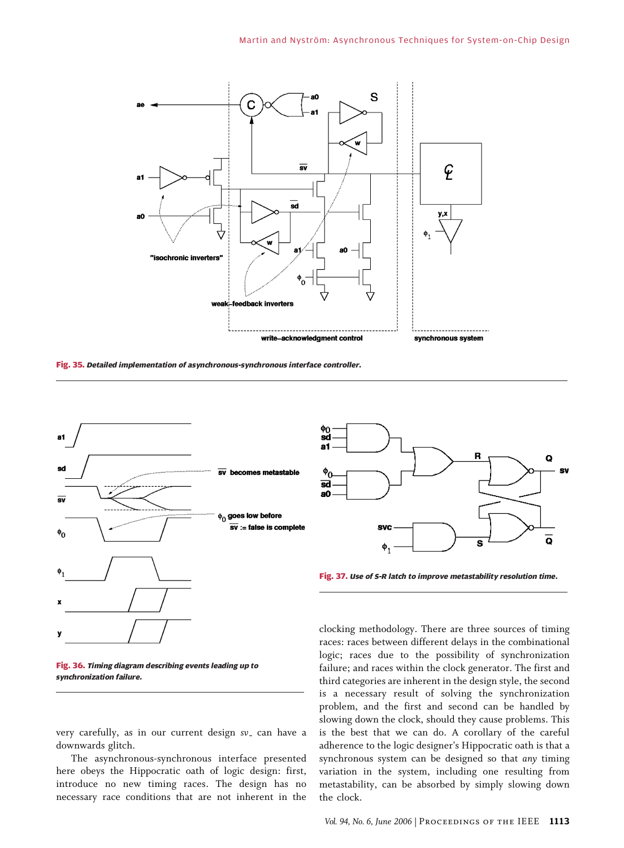

Fig. 35. Detailed implementation of asynchronous-synchronous interface controller.





very carefully, as in our current design sv\_ can have a downwards glitch.

The asynchronous-synchronous interface presented here obeys the Hippocratic oath of logic design: first, introduce no new timing races. The design has no necessary race conditions that are not inherent in the



Fig. 37. Use of S-R latch to improve metastability resolution time.

clocking methodology. There are three sources of timing races: races between different delays in the combinational logic; races due to the possibility of synchronization failure; and races within the clock generator. The first and third categories are inherent in the design style, the second is a necessary result of solving the synchronization problem, and the first and second can be handled by slowing down the clock, should they cause problems. This is the best that we can do. A corollary of the careful adherence to the logic designer's Hippocratic oath is that a synchronous system can be designed so that any timing variation in the system, including one resulting from metastability, can be absorbed by simply slowing down the clock.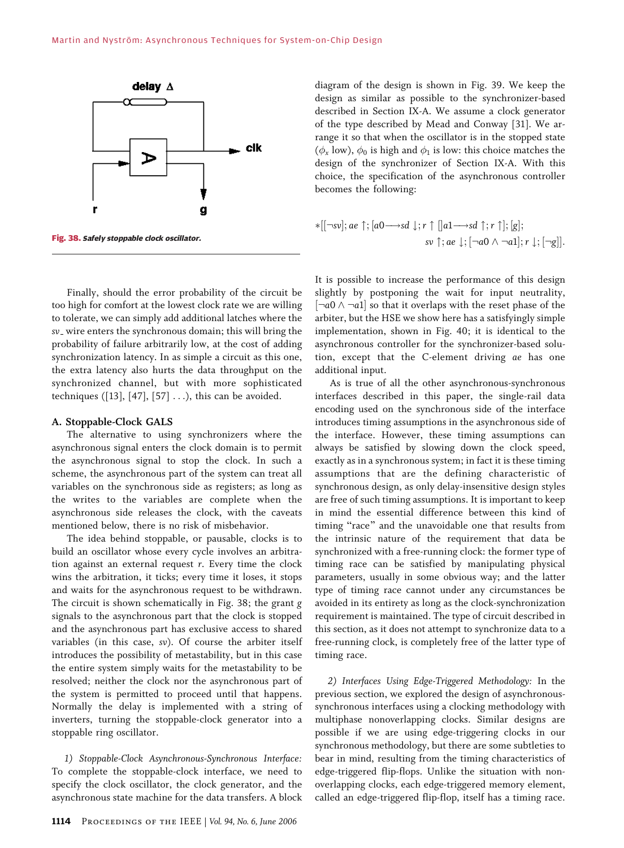

Finally, should the error probability of the circuit be too high for comfort at the lowest clock rate we are willing to tolerate, we can simply add additional latches where the sv\_wire enters the synchronous domain; this will bring the probability of failure arbitrarily low, at the cost of adding synchronization latency. In as simple a circuit as this one, the extra latency also hurts the data throughput on the synchronized channel, but with more sophisticated techniques  $([13], [47], [57] \ldots)$ , this can be avoided.

#### A. Stoppable-Clock GALS

The alternative to using synchronizers where the asynchronous signal enters the clock domain is to permit the asynchronous signal to stop the clock. In such a scheme, the asynchronous part of the system can treat all variables on the synchronous side as registers; as long as the writes to the variables are complete when the asynchronous side releases the clock, with the caveats mentioned below, there is no risk of misbehavior.

The idea behind stoppable, or pausable, clocks is to build an oscillator whose every cycle involves an arbitration against an external request r. Every time the clock wins the arbitration, it ticks; every time it loses, it stops and waits for the asynchronous request to be withdrawn. The circuit is shown schematically in Fig. 38; the grant g signals to the asynchronous part that the clock is stopped and the asynchronous part has exclusive access to shared variables (in this case, sv). Of course the arbiter itself introduces the possibility of metastability, but in this case the entire system simply waits for the metastability to be resolved; neither the clock nor the asynchronous part of the system is permitted to proceed until that happens. Normally the delay is implemented with a string of inverters, turning the stoppable-clock generator into a stoppable ring oscillator.

1) Stoppable-Clock Asynchronous-Synchronous Interface: To complete the stoppable-clock interface, we need to specify the clock oscillator, the clock generator, and the asynchronous state machine for the data transfers. A block

1114 Proceedings of the IEEE | Vol. 94, No. 6, June 2006

diagram of the design is shown in Fig. 39. We keep the design as similar as possible to the synchronizer-based described in Section IX-A. We assume a clock generator of the type described by Mead and Conway [31]. We arrange it so that when the oscillator is in the stopped state ( $\phi_x$  low),  $\phi_0$  is high and  $\phi_1$  is low: this choice matches the design of the synchronizer of Section IX-A. With this choice, the specification of the asynchronous controller becomes the following:

$$
*[[\neg sv];ae \uparrow; [a0 \longrightarrow sd \downarrow; r \uparrow []a1 \longrightarrow sd \uparrow; r \uparrow]; [g];sv \uparrow; ae \downarrow; [\neg a0 \land \neg a1]; r \downarrow; [\neg g]].
$$

It is possible to increase the performance of this design slightly by postponing the wait for input neutrality,  $\lceil \neg a0 \wedge \neg a1 \rceil$  so that it overlaps with the reset phase of the arbiter, but the HSE we show here has a satisfyingly simple implementation, shown in Fig. 40; it is identical to the asynchronous controller for the synchronizer-based solution, except that the C-element driving ae has one additional input.

As is true of all the other asynchronous-synchronous interfaces described in this paper, the single-rail data encoding used on the synchronous side of the interface introduces timing assumptions in the asynchronous side of the interface. However, these timing assumptions can always be satisfied by slowing down the clock speed, exactly as in a synchronous system; in fact it is these timing assumptions that are the defining characteristic of synchronous design, as only delay-insensitive design styles are free of such timing assumptions. It is important to keep in mind the essential difference between this kind of timing "race" and the unavoidable one that results from the intrinsic nature of the requirement that data be synchronized with a free-running clock: the former type of timing race can be satisfied by manipulating physical parameters, usually in some obvious way; and the latter type of timing race cannot under any circumstances be avoided in its entirety as long as the clock-synchronization requirement is maintained. The type of circuit described in this section, as it does not attempt to synchronize data to a free-running clock, is completely free of the latter type of timing race.

2) Interfaces Using Edge-Triggered Methodology: In the previous section, we explored the design of asynchronoussynchronous interfaces using a clocking methodology with multiphase nonoverlapping clocks. Similar designs are possible if we are using edge-triggering clocks in our synchronous methodology, but there are some subtleties to bear in mind, resulting from the timing characteristics of edge-triggered flip-flops. Unlike the situation with nonoverlapping clocks, each edge-triggered memory element, called an edge-triggered flip-flop, itself has a timing race.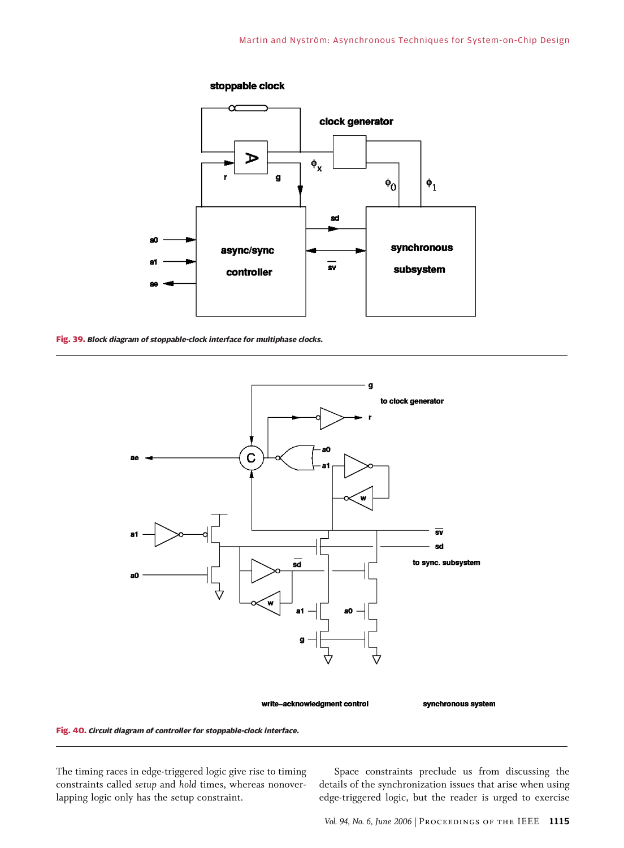# stoppable clock



Fig. 39. Block diagram of stoppable-clock interface for multiphase clocks.



Fig. 40. Circuit diagram of controller for stoppable-clock interface.

The timing races in edge-triggered logic give rise to timing constraints called setup and hold times, whereas nonoverlapping logic only has the setup constraint.

Space constraints preclude us from discussing the details of the synchronization issues that arise when using edge-triggered logic, but the reader is urged to exercise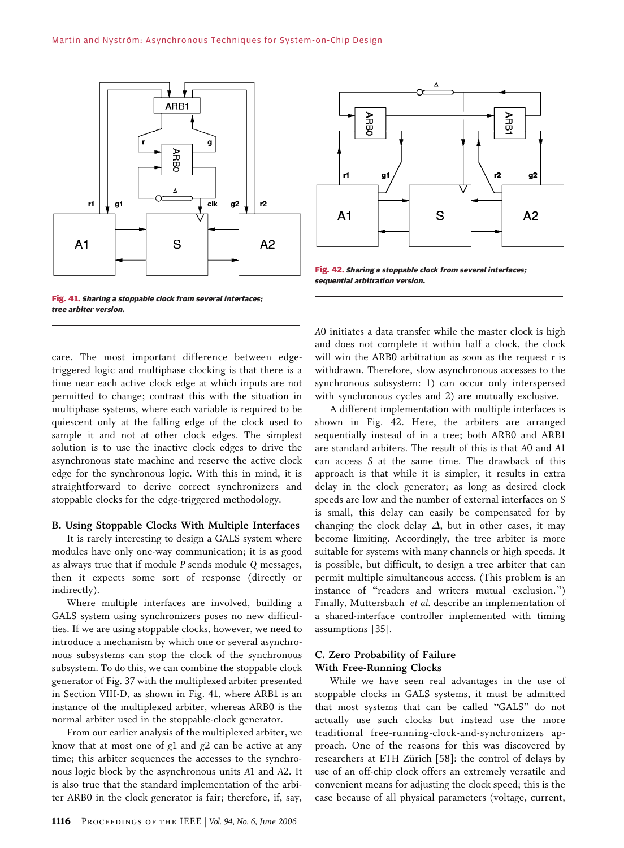

Fig. 41. Sharing a stoppable clock from several interfaces; tree arbiter version.

care. The most important difference between edgetriggered logic and multiphase clocking is that there is a time near each active clock edge at which inputs are not permitted to change; contrast this with the situation in multiphase systems, where each variable is required to be quiescent only at the falling edge of the clock used to sample it and not at other clock edges. The simplest solution is to use the inactive clock edges to drive the asynchronous state machine and reserve the active clock edge for the synchronous logic. With this in mind, it is straightforward to derive correct synchronizers and stoppable clocks for the edge-triggered methodology.

#### B. Using Stoppable Clocks With Multiple Interfaces

It is rarely interesting to design a GALS system where modules have only one-way communication; it is as good as always true that if module P sends module Q messages, then it expects some sort of response (directly or indirectly).

Where multiple interfaces are involved, building a GALS system using synchronizers poses no new difficulties. If we are using stoppable clocks, however, we need to introduce a mechanism by which one or several asynchronous subsystems can stop the clock of the synchronous subsystem. To do this, we can combine the stoppable clock generator of Fig. 37 with the multiplexed arbiter presented in Section VIII-D, as shown in Fig. 41, where ARB1 is an instance of the multiplexed arbiter, whereas ARB0 is the normal arbiter used in the stoppable-clock generator.

From our earlier analysis of the multiplexed arbiter, we know that at most one of g1 and g2 can be active at any time; this arbiter sequences the accesses to the synchronous logic block by the asynchronous units A1 and A2. It is also true that the standard implementation of the arbiter ARB0 in the clock generator is fair; therefore, if, say,



Fig. 42. Sharing a stoppable clock from several interfaces; sequential arbitration version.

A0 initiates a data transfer while the master clock is high and does not complete it within half a clock, the clock will win the ARB0 arbitration as soon as the request  $r$  is withdrawn. Therefore, slow asynchronous accesses to the synchronous subsystem: 1) can occur only interspersed with synchronous cycles and 2) are mutually exclusive.

A different implementation with multiple interfaces is shown in Fig. 42. Here, the arbiters are arranged sequentially instead of in a tree; both ARB0 and ARB1 are standard arbiters. The result of this is that A0 and A1 can access S at the same time. The drawback of this approach is that while it is simpler, it results in extra delay in the clock generator; as long as desired clock speeds are low and the number of external interfaces on S is small, this delay can easily be compensated for by changing the clock delay  $\Delta$ , but in other cases, it may become limiting. Accordingly, the tree arbiter is more suitable for systems with many channels or high speeds. It is possible, but difficult, to design a tree arbiter that can permit multiple simultaneous access. (This problem is an instance of "readers and writers mutual exclusion.") Finally, Muttersbach et al. describe an implementation of a shared-interface controller implemented with timing assumptions [35].

# C. Zero Probability of Failure With Free-Running Clocks

While we have seen real advantages in the use of stoppable clocks in GALS systems, it must be admitted that most systems that can be called "GALS" do not actually use such clocks but instead use the more traditional free-running-clock-and-synchronizers approach. One of the reasons for this was discovered by researchers at ETH Zürich [58]: the control of delays by use of an off-chip clock offers an extremely versatile and convenient means for adjusting the clock speed; this is the case because of all physical parameters (voltage, current,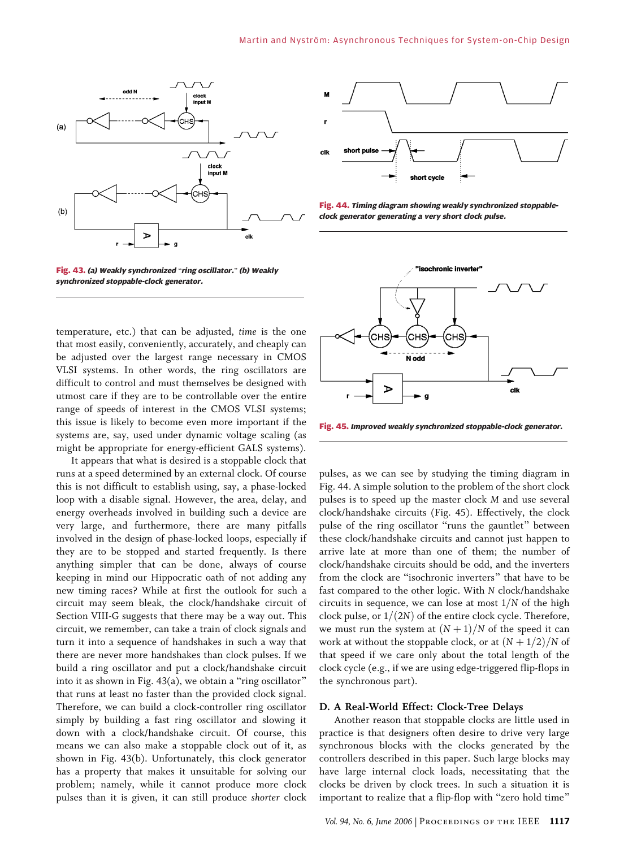

Fig. 43. (a) Weakly synchronized "ring oscillator." (b) Weakly synchronized stoppable-clock generator.

temperature, etc.) that can be adjusted, time is the one that most easily, conveniently, accurately, and cheaply can be adjusted over the largest range necessary in CMOS VLSI systems. In other words, the ring oscillators are difficult to control and must themselves be designed with utmost care if they are to be controllable over the entire range of speeds of interest in the CMOS VLSI systems; this issue is likely to become even more important if the systems are, say, used under dynamic voltage scaling (as might be appropriate for energy-efficient GALS systems).

It appears that what is desired is a stoppable clock that runs at a speed determined by an external clock. Of course this is not difficult to establish using, say, a phase-locked loop with a disable signal. However, the area, delay, and energy overheads involved in building such a device are very large, and furthermore, there are many pitfalls involved in the design of phase-locked loops, especially if they are to be stopped and started frequently. Is there anything simpler that can be done, always of course keeping in mind our Hippocratic oath of not adding any new timing races? While at first the outlook for such a circuit may seem bleak, the clock/handshake circuit of Section VIII-G suggests that there may be a way out. This circuit, we remember, can take a train of clock signals and turn it into a sequence of handshakes in such a way that there are never more handshakes than clock pulses. If we build a ring oscillator and put a clock/handshake circuit into it as shown in Fig.  $43(a)$ , we obtain a "ring oscillator" that runs at least no faster than the provided clock signal. Therefore, we can build a clock-controller ring oscillator simply by building a fast ring oscillator and slowing it down with a clock/handshake circuit. Of course, this means we can also make a stoppable clock out of it, as shown in Fig. 43(b). Unfortunately, this clock generator has a property that makes it unsuitable for solving our problem; namely, while it cannot produce more clock pulses than it is given, it can still produce shorter clock



Fig. 44. Timing diagram showing weakly synchronized stoppableclock generator generating a very short clock pulse.



Fig. 45. Improved weakly synchronized stoppable-clock generator.

pulses, as we can see by studying the timing diagram in Fig. 44. A simple solution to the problem of the short clock pulses is to speed up the master clock M and use several clock/handshake circuits (Fig. 45). Effectively, the clock pulse of the ring oscillator "runs the gauntlet" between these clock/handshake circuits and cannot just happen to arrive late at more than one of them; the number of clock/handshake circuits should be odd, and the inverters from the clock are "isochronic inverters" that have to be fast compared to the other logic. With N clock/handshake circuits in sequence, we can lose at most  $1/N$  of the high clock pulse, or  $1/(2N)$  of the entire clock cycle. Therefore, we must run the system at  $(N + 1)/N$  of the speed it can work at without the stoppable clock, or at  $(N + 1/2)/N$  of that speed if we care only about the total length of the clock cycle (e.g., if we are using edge-triggered flip-flops in the synchronous part).

#### D. A Real-World Effect: Clock-Tree Delays

Another reason that stoppable clocks are little used in practice is that designers often desire to drive very large synchronous blocks with the clocks generated by the controllers described in this paper. Such large blocks may have large internal clock loads, necessitating that the clocks be driven by clock trees. In such a situation it is important to realize that a flip-flop with "zero hold time"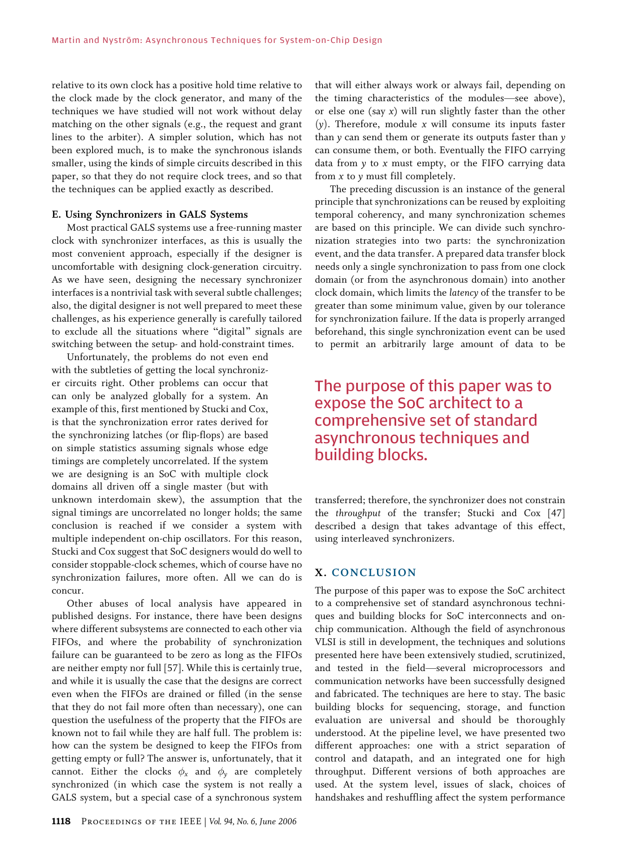relative to its own clock has a positive hold time relative to the clock made by the clock generator, and many of the techniques we have studied will not work without delay matching on the other signals (e.g., the request and grant lines to the arbiter). A simpler solution, which has not been explored much, is to make the synchronous islands smaller, using the kinds of simple circuits described in this paper, so that they do not require clock trees, and so that the techniques can be applied exactly as described.

#### E. Using Synchronizers in GALS Systems

Most practical GALS systems use a free-running master clock with synchronizer interfaces, as this is usually the most convenient approach, especially if the designer is uncomfortable with designing clock-generation circuitry. As we have seen, designing the necessary synchronizer interfaces is a nontrivial task with several subtle challenges; also, the digital designer is not well prepared to meet these challenges, as his experience generally is carefully tailored to exclude all the situations where "digital" signals are switching between the setup- and hold-constraint times.

Unfortunately, the problems do not even end with the subtleties of getting the local synchronizer circuits right. Other problems can occur that can only be analyzed globally for a system. An example of this, first mentioned by Stucki and Cox, is that the synchronization error rates derived for the synchronizing latches (or flip-flops) are based on simple statistics assuming signals whose edge timings are completely uncorrelated. If the system we are designing is an SoC with multiple clock domains all driven off a single master (but with

unknown interdomain skew), the assumption that the signal timings are uncorrelated no longer holds; the same conclusion is reached if we consider a system with multiple independent on-chip oscillators. For this reason, Stucki and Cox suggest that SoC designers would do well to consider stoppable-clock schemes, which of course have no synchronization failures, more often. All we can do is concur.

Other abuses of local analysis have appeared in published designs. For instance, there have been designs where different subsystems are connected to each other via FIFOs, and where the probability of synchronization failure can be guaranteed to be zero as long as the FIFOs are neither empty nor full [57]. While this is certainly true, and while it is usually the case that the designs are correct even when the FIFOs are drained or filled (in the sense that they do not fail more often than necessary), one can question the usefulness of the property that the FIFOs are known not to fail while they are half full. The problem is: how can the system be designed to keep the FIFOs from getting empty or full? The answer is, unfortunately, that it cannot. Either the clocks  $\phi_x$  and  $\phi_y$  are completely synchronized (in which case the system is not really a GALS system, but a special case of a synchronous system

that will either always work or always fail, depending on the timing characteristics of the modules-see above), or else one (say x) will run slightly faster than the other  $(y)$ . Therefore, module x will consume its inputs faster than y can send them or generate its outputs faster than y can consume them, or both. Eventually the FIFO carrying data from  $y$  to  $x$  must empty, or the FIFO carrying data from x to y must fill completely.

The preceding discussion is an instance of the general principle that synchronizations can be reused by exploiting temporal coherency, and many synchronization schemes are based on this principle. We can divide such synchronization strategies into two parts: the synchronization event, and the data transfer. A prepared data transfer block needs only a single synchronization to pass from one clock domain (or from the asynchronous domain) into another clock domain, which limits the latency of the transfer to be greater than some minimum value, given by our tolerance for synchronization failure. If the data is properly arranged beforehand, this single synchronization event can be used to permit an arbitrarily large amount of data to be

# The purpose of this paper was to expose the SoC architect to a comprehensive set of standard asynchronous techniques and building blocks.

transferred; therefore, the synchronizer does not constrain the throughput of the transfer; Stucki and Cox [47] described a design that takes advantage of this effect, using interleaved synchronizers.

# X. CONCLUSION

The purpose of this paper was to expose the SoC architect to a comprehensive set of standard asynchronous techniques and building blocks for SoC interconnects and onchip communication. Although the field of asynchronous VLSI is still in development, the techniques and solutions presented here have been extensively studied, scrutinized, and tested in the field-several microprocessors and communication networks have been successfully designed and fabricated. The techniques are here to stay. The basic building blocks for sequencing, storage, and function evaluation are universal and should be thoroughly understood. At the pipeline level, we have presented two different approaches: one with a strict separation of control and datapath, and an integrated one for high throughput. Different versions of both approaches are used. At the system level, issues of slack, choices of handshakes and reshuffling affect the system performance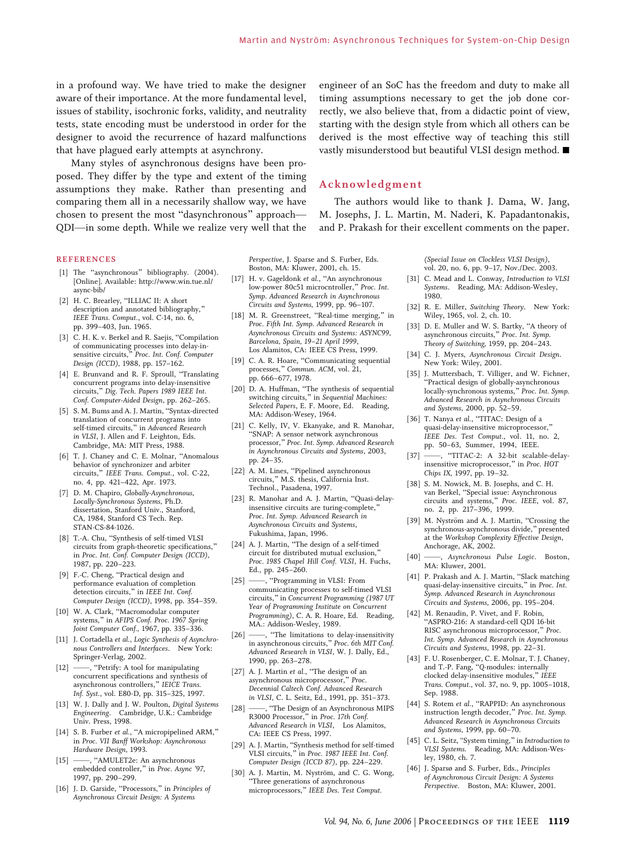in a profound way. We have tried to make the designer aware of their importance. At the more fundamental level, issues of stability, isochronic forks, validity, and neutrality tests, state encoding must be understood in order for the designer to avoid the recurrence of hazard malfunctions that have plagued early attempts at asynchrony.

Many styles of asynchronous designs have been proposed. They differ by the type and extent of the timing assumptions they make. Rather than presenting and comparing them all in a necessarily shallow way, we have chosen to present the most "dasynchronous" approach-QDI-in some depth. While we realize very well that the engineer of an SoC has the freedom and duty to make all timing assumptions necessary to get the job done correctly, we also believe that, from a didactic point of view, starting with the design style from which all others can be derived is the most effective way of teaching this still vastly misunderstood but beautiful VLSI design method.  $\blacksquare$ 

# Acknowledgment

The authors would like to thank J. Dama, W. Jang, M. Josephs, J. L. Martin, M. Naderi, K. Papadantonakis, and P. Prakash for their excellent comments on the paper.

#### **REFERENCES**

- [1] The "asynchronous" bibliography. (2004). [Online]. Available: http://www.win.tue.nl/ async-bib/.
- [2] H. C. Brearley, "ILLIAC II: A short description and annotated bibliography," IEEE Trans. Comput., vol. C-14, no. 6, pp. 399–403, Jun. 1965.
- [3] C. H. K. v. Berkel and R. Saejis, "Compilation of communicating processes into delay-in-<br>sensitive circuits," Proc. Int. Conf. Computer Design (ICCD), 1988, pp. 157–162.
- [4] E. Brunvand and R. F. Sproull, "Translating concurrent programs into delay-insensitive circuits," Dig. Tech. Papers 1989 IEEE Int. Conf. Computer-Aided Design, pp. 262–265.
- [5] S. M. Bums and A. J. Martin, "Syntax-directed translation of concurrent programs into self-timed circuits," in Advanced Research in VLSI, J. Allen and F. Leighton, Eds. Cambridge, MA: MIT Press, 1988.
- [6] T. J. Chaney and C. E. Molnar, "Anomalous behavior of synchronizer and arbiter circuits," IEEE Trans. Comput., vol. C-22, no. 4, pp. 421–422, Apr. 1973.
- [7] D. M. Chapiro, Globally-Asynchronous, Locally-Synchronous Systems, Ph.D. dissertation, Stanford Univ., Stanford, CA, 1984, Stanford CS Tech. Rep. STAN-CS-84-1026.
- [8] T.-A. Chu, "Synthesis of self-timed VLSI circuits from graph-theoretic specifications," in Proc. Int. Conf. Computer Design (ICCD), 1987, pp. 220–223.
- [9] F.-C. Cheng, "Practical design and performance evaluation of completion detection circuits," in IEEE Int. Conf. Computer Design (ICCD), 1998, pp. 354–359.
- [10] W. A. Clark, "Macromodular computer systems," in AFIPS Conf. Proc. 1967 Spring Joint Computer Conf., 1967, pp. 335–336.
- [11] J. Cortadella et al., Logic Synthesis of Asynchronous Controllers and Interfaces. New York: Springer-Verlag, 2002.
- [12]  $\frac{12}{2}$  / "Petrify: A tool for manipulating concurrent specifications and synthesis of asynchronous controllers," IEICE Trans. Inf. Syst., vol. E80-D, pp. 315–325, 1997.
- [13] W. J. Dally and J. W. Poulton, Digital Systems Engineering. Cambridge, U.K.: Cambridge Univ. Press, 1998.
- [14] S. B. Furber et al., "A micropipelined ARM," in Proc. VII Banff Workshop: Asynchronous Hardware Design, 1993.
- [15] -, "AMULET2e: An asynchronous embedded controller," in Proc. Async '97, 1997, pp. 290–299.
- [16] J. D. Garside, "Processors," in Principles of Asynchronous Circuit Design: A Systems

Perspective, J. Sparse and S. Furber, Eds. Boston, MA: Kluwer, 2001, ch. 15.

- [17] H. v. Gageldonk et al., "An asynchronous low-power 80c51 microcntroller," Proc. Int. Symp. Advanced Research in Asynchronous Circuits and Systems, 1999, pp. 96–107.
- [18] M. R. Greenstreet, "Real-time merging," in Proc. Fifth Int. Symp. Advanced Research in Asynchronous Circuits and Systems: ASYNC99, Barcelona, Spain, 19–21 April 1999, Los Alamitos, CA: IEEE CS Press, 1999.
- [19] C. A. R. Hoare, "Communicating sequential processes," Commun. ACM, vol. 21, pp. 666–677, 1978.
- [20] D. A. Huffman, "The synthesis of sequential switching circuits," in Sequential Machines: Selected Papers, E. F. Moore, Ed. Reading, MA: Addison-Wesey, 1964.
- [21] C. Kelly, IV, V. Ekanyake, and R. Manohar, "SNAP: A sensor network asynchronous processor," Proc. Int. Symp. Advanced Research in Asynchronous Circuits and Systems, 2003, pp. 24–35.
- [22] A. M. Lines, "Pipelined asynchronous circuits," M.S. thesis, California Inst. Technol., Pasadena, 1997.
- [23] R. Manohar and A. J. Martin, "Quasi-delayinsensitive circuits are turing-complete,' Proc. Int. Symp. Advanced Research in Asynchronous Circuits and Systems, Fukushima, Japan, 1996.
- [24] A. J. Martin, "The design of a self-timed circuit for distributed mutual exclusion,[ Proc. 1985 Chapel Hill Conf. VLSI, H. Fuchs, Ed., pp. 245–260.
- [25] \* Programming in VLSI: From communicating processes to self-timed VLSI circuits," in Concurrent Programming (1987 UT Year of Programming Institute on Concurrent Programming), C. A. R. Hoare, Ed. Reading, MA.: Addison-Wesley, 1989.
- [26] ——, "The limitations to delay-insensitivity<br>in asynchronous circuits," Proc. 6th MIT Conf. Advanced Research in VLSI, W. J. Dally, Ed., 1990, pp. 263–278.
- [27] A. J. Martin et al., "The design of an asynchronous microprocessor," Proc. Decennial Caltech Conf. Advanced Research in VLSI, C. L. Seitz, Ed., 1991, pp. 351–373.
- [28]  $\longrightarrow$ , "The Design of an Asynchronous MIPS R3000 Processor," in Proc. 17th Conf. Advanced Research in VLSI, Los Alamitos, CA: IEEE CS Press, 1997.
- [29] A. J. Martin, "Synthesis method for self-timed VLSI circuits," in Proc. 1987 IEEE Int. Conf. Computer Design (ICCD 87), pp. 224–229.
- [30] A. J. Martin, M. Nyström, and C. G. Wong,<br>"Three generations of asynchronous" microprocessors," IEEE Des. Test Comput.

(Special Issue on Clockless VLSI Design), vol. 20, no. 6, pp. 9–17, Nov./Dec. 2003.

- [31] C. Mead and L. Conway, Introduction to VLSI Systems. Reading, MA: Addison-Wesley, 1980.
- [32] R. E. Miller, Switching Theory. New York: Wiley, 1965, vol. 2, ch. 10.
- [33] D. E. Muller and W. S. Bartky, "A theory of asynchronous circuits," Proc. Int. Symp. Theory of Switching, 1959, pp. 204–243.
- [34] C. J. Myers, Asynchronous Circuit Design. New York: Wiley, 2001.
- [35] J. Muttersbach, T. Villiger, and W. Fichner, "Practical design of globally-asynchronous<br>locally-synchronous systems," Proc. Int. Symp. Advanced Research in Asynchronous Circuits and Systems, 2000, pp. 52–59.
- [36] T. Nanya et al., "TITAC: Design of a quasi-delay-insensitive microprocessor,[ IEEE Des. Test Comput., vol. 11, no. 2, pp. 50–63, Summer, 1994, IEEE.
- [37] -, "TITAC-2: A 32-bit scalable-delayinsensitive microprocessor," in Proc. HOT Chips IX, 1997, pp. 19–32.
- [38] S. M. Nowick, M. B. Josephs, and C. H. van Berkel, "Special issue: Asynchronous circuits and systems," Proc. IEEE, vol. 87, no. 2, pp. 217–396, 1999.
- [39] M. Nyström and A. J. Martin, "Crossing the synchronous-asynchronous divide," presented at the Workshop Complexity Effective Design, Anchorage, AK, 2002.
- [40]  $\longrightarrow$ , Asynchronous Pulse Logic. Boston, MA: Kluwer, 2001.
- [41] P. Prakash and A. J. Martin, "Slack matching quasi-delay-insensitive circuits," in Proc. Int. Symp. Advanced Research in Asynchronous Circuits and Systems, 2006, pp. 195–204.
- [42] M. Renaudin, P. Vivet, and F. Robin, "ASPRO-216: A standard-cell QDI 16-bit RISC asynchronous microprocessor," Proc. Int. Symp. Advanced Research in Asynchronous Circuits and Systems, 1998, pp. 22–31.
- [43] F. U. Rosenberger, C. E. Molnar, T. J. Chaney, and T.-P. Fang, "Q-modules: internally clocked delay-insensitive modules," IEEE Trans. Comput., vol. 37, no. 9, pp. 1005–1018, Sep. 1988.
- [44] S. Rotem et al., "RAPPID: An asynchronous instruction length decoder," Proc. Int. Symp. Advanced Research in Asynchronous Circuits and Systems, 1999, pp. 60–70.
- [45] C. L. Seitz, "System timing," in Introduction to<br>VLSI Systems. Reading, MA: Addison-Wesley, 1980, ch. 7.
- [46] J. Sparsø and S. Furber, Eds., Principles of Asynchronous Circuit Design: A Systems Perspective. Boston, MA: Kluwer, 2001.